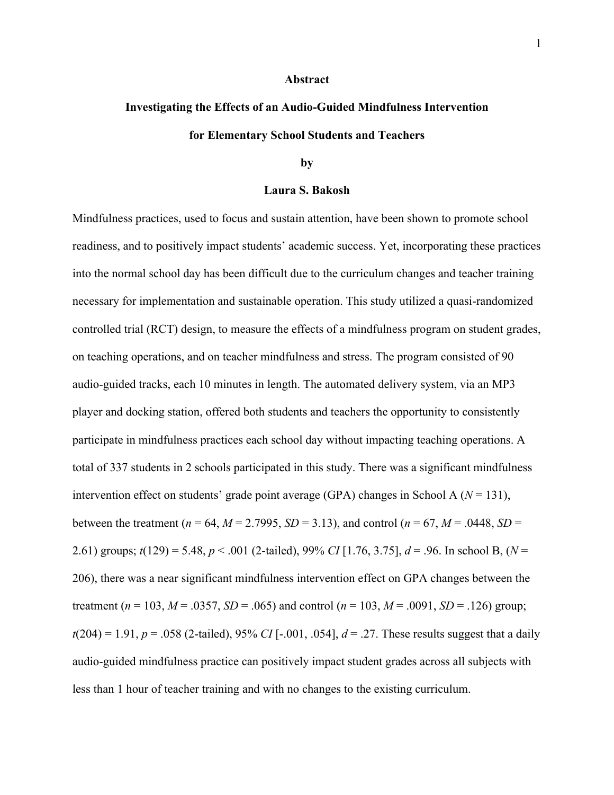#### **Abstract**

## **Investigating the Effects of an Audio-Guided Mindfulness Intervention for Elementary School Students and Teachers**

#### **by**

#### **Laura S. Bakosh**

Mindfulness practices, used to focus and sustain attention, have been shown to promote school readiness, and to positively impact students' academic success. Yet, incorporating these practices into the normal school day has been difficult due to the curriculum changes and teacher training necessary for implementation and sustainable operation. This study utilized a quasi-randomized controlled trial (RCT) design, to measure the effects of a mindfulness program on student grades, on teaching operations, and on teacher mindfulness and stress. The program consisted of 90 audio-guided tracks, each 10 minutes in length. The automated delivery system, via an MP3 player and docking station, offered both students and teachers the opportunity to consistently participate in mindfulness practices each school day without impacting teaching operations. A total of 337 students in 2 schools participated in this study. There was a significant mindfulness intervention effect on students' grade point average (GPA) changes in School A  $(N = 131)$ , between the treatment ( $n = 64$ ,  $M = 2.7995$ ,  $SD = 3.13$ ), and control ( $n = 67$ ,  $M = .0448$ ,  $SD =$ 2.61) groups; *t*(129) = 5.48, *p* < .001 (2-tailed), 99% *CI* [1.76, 3.75], *d* = .96. In school B, (*N* = 206), there was a near significant mindfulness intervention effect on GPA changes between the treatment ( $n = 103$ ,  $M = .0357$ ,  $SD = .065$ ) and control ( $n = 103$ ,  $M = .0091$ ,  $SD = .126$ ) group;  $t(204) = 1.91$ ,  $p = .058$  (2-tailed), 95% *CI* [-.001, .054],  $d = .27$ . These results suggest that a daily audio-guided mindfulness practice can positively impact student grades across all subjects with less than 1 hour of teacher training and with no changes to the existing curriculum.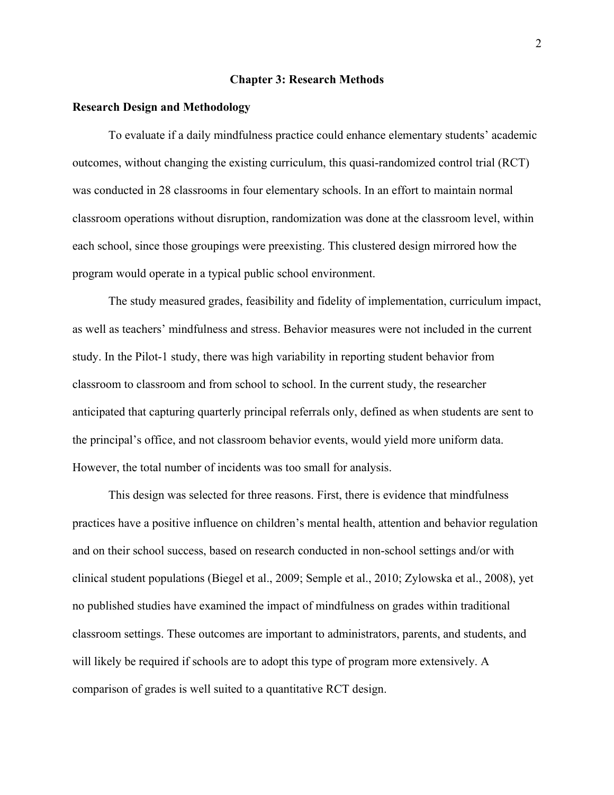#### **Chapter 3: Research Methods**

#### **Research Design and Methodology**

To evaluate if a daily mindfulness practice could enhance elementary students' academic outcomes, without changing the existing curriculum, this quasi-randomized control trial (RCT) was conducted in 28 classrooms in four elementary schools. In an effort to maintain normal classroom operations without disruption, randomization was done at the classroom level, within each school, since those groupings were preexisting. This clustered design mirrored how the program would operate in a typical public school environment.

The study measured grades, feasibility and fidelity of implementation, curriculum impact, as well as teachers' mindfulness and stress. Behavior measures were not included in the current study. In the Pilot-1 study, there was high variability in reporting student behavior from classroom to classroom and from school to school. In the current study, the researcher anticipated that capturing quarterly principal referrals only, defined as when students are sent to the principal's office, and not classroom behavior events, would yield more uniform data. However, the total number of incidents was too small for analysis.

This design was selected for three reasons. First, there is evidence that mindfulness practices have a positive influence on children's mental health, attention and behavior regulation and on their school success, based on research conducted in non-school settings and/or with clinical student populations (Biegel et al., 2009; Semple et al., 2010; Zylowska et al., 2008), yet no published studies have examined the impact of mindfulness on grades within traditional classroom settings. These outcomes are important to administrators, parents, and students, and will likely be required if schools are to adopt this type of program more extensively. A comparison of grades is well suited to a quantitative RCT design.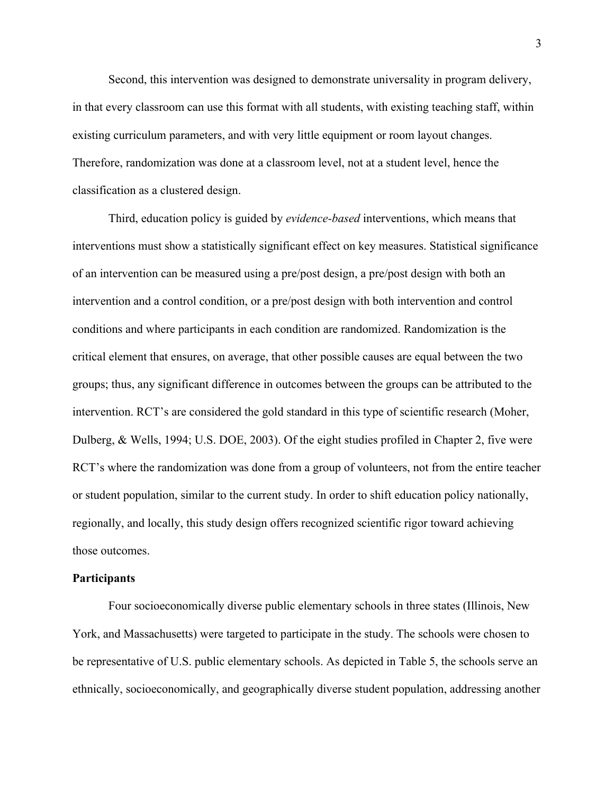Second, this intervention was designed to demonstrate universality in program delivery, in that every classroom can use this format with all students, with existing teaching staff, within existing curriculum parameters, and with very little equipment or room layout changes. Therefore, randomization was done at a classroom level, not at a student level, hence the classification as a clustered design.

 Third, education policy is guided by *evidence-based* interventions, which means that interventions must show a statistically significant effect on key measures. Statistical significance of an intervention can be measured using a pre/post design, a pre/post design with both an intervention and a control condition, or a pre/post design with both intervention and control conditions and where participants in each condition are randomized. Randomization is the critical element that ensures, on average, that other possible causes are equal between the two groups; thus, any significant difference in outcomes between the groups can be attributed to the intervention. RCT's are considered the gold standard in this type of scientific research (Moher, Dulberg, & Wells, 1994; U.S. DOE, 2003). Of the eight studies profiled in Chapter 2, five were RCT's where the randomization was done from a group of volunteers, not from the entire teacher or student population, similar to the current study. In order to shift education policy nationally, regionally, and locally, this study design offers recognized scientific rigor toward achieving those outcomes.

#### **Participants**

 Four socioeconomically diverse public elementary schools in three states (Illinois, New York, and Massachusetts) were targeted to participate in the study. The schools were chosen to be representative of U.S. public elementary schools. As depicted in Table 5, the schools serve an ethnically, socioeconomically, and geographically diverse student population, addressing another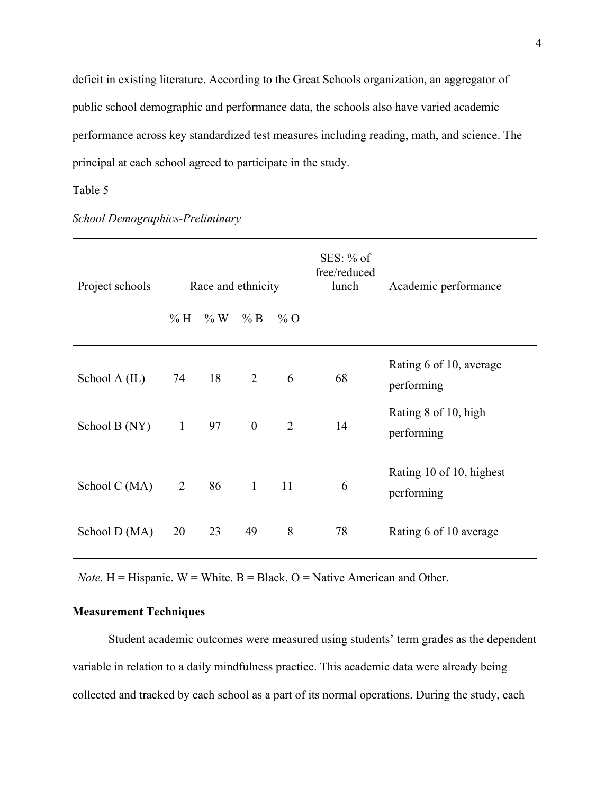deficit in existing literature. According to the Great Schools organization, an aggregator of public school demographic and performance data, the schools also have varied academic performance across key standardized test measures including reading, math, and science. The principal at each school agreed to participate in the study.

#### Table 5

| Project schools | Race and ethnicity |                   |              |                | $SES: \%$ of<br>free/reduced<br>lunch | Academic performance                   |
|-----------------|--------------------|-------------------|--------------|----------------|---------------------------------------|----------------------------------------|
|                 | $\%$ H             | $\% W \quad \% B$ |              | $\%$ O         |                                       |                                        |
| School $A$ (IL) | 74                 | 18                | 2            | 6              | 68                                    | Rating 6 of 10, average<br>performing  |
| School B (NY)   | $\mathbf{1}$       | 97                | $\theta$     | $\overline{2}$ | 14                                    | Rating 8 of 10, high<br>performing     |
| School C (MA)   | $\overline{2}$     | 86                | $\mathbf{1}$ | 11             | 6                                     | Rating 10 of 10, highest<br>performing |
| School D (MA)   | 20                 | 23                | 49           | 8              | 78                                    | Rating 6 of 10 average                 |

*School Demographics-Preliminary*

*Note.*  $H = H$  ispanic.  $W = White$ .  $B = Black$ .  $O = Nature$ . American and Other.

#### **Measurement Techniques**

Student academic outcomes were measured using students' term grades as the dependent variable in relation to a daily mindfulness practice. This academic data were already being collected and tracked by each school as a part of its normal operations. During the study, each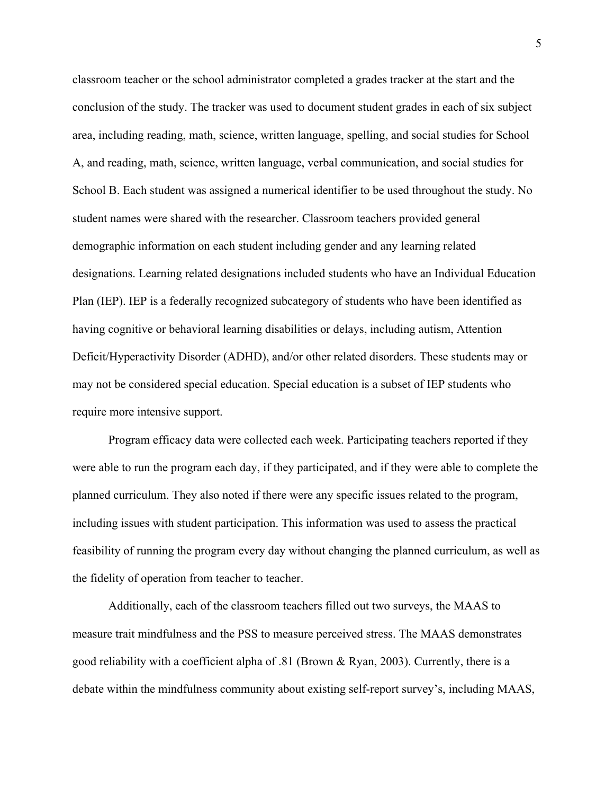classroom teacher or the school administrator completed a grades tracker at the start and the conclusion of the study. The tracker was used to document student grades in each of six subject area, including reading, math, science, written language, spelling, and social studies for School A, and reading, math, science, written language, verbal communication, and social studies for School B. Each student was assigned a numerical identifier to be used throughout the study. No student names were shared with the researcher. Classroom teachers provided general demographic information on each student including gender and any learning related designations. Learning related designations included students who have an Individual Education Plan (IEP). IEP is a federally recognized subcategory of students who have been identified as having cognitive or behavioral learning disabilities or delays, including autism, Attention Deficit/Hyperactivity Disorder (ADHD), and/or other related disorders. These students may or may not be considered special education. Special education is a subset of IEP students who require more intensive support.

Program efficacy data were collected each week. Participating teachers reported if they were able to run the program each day, if they participated, and if they were able to complete the planned curriculum. They also noted if there were any specific issues related to the program, including issues with student participation. This information was used to assess the practical feasibility of running the program every day without changing the planned curriculum, as well as the fidelity of operation from teacher to teacher.

Additionally, each of the classroom teachers filled out two surveys, the MAAS to measure trait mindfulness and the PSS to measure perceived stress. The MAAS demonstrates good reliability with a coefficient alpha of .81 (Brown & Ryan, 2003). Currently, there is a debate within the mindfulness community about existing self-report survey's, including MAAS,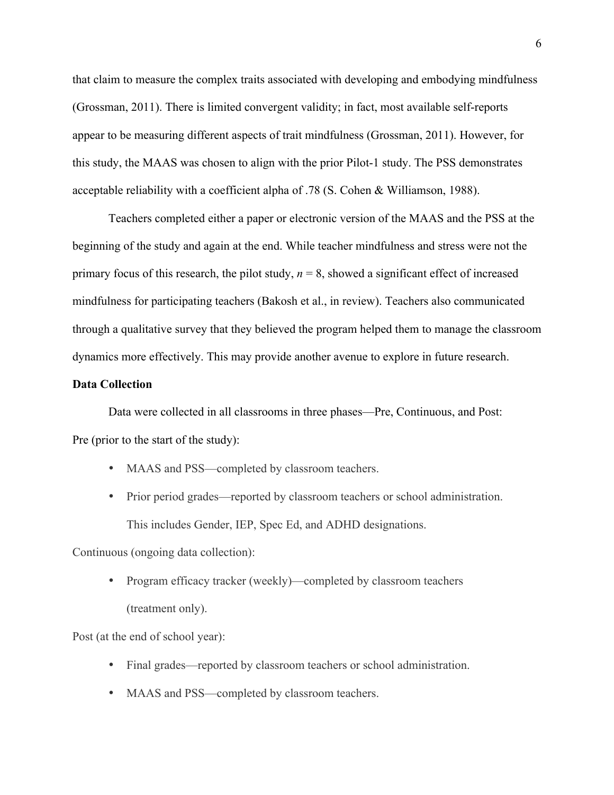that claim to measure the complex traits associated with developing and embodying mindfulness (Grossman, 2011). There is limited convergent validity; in fact, most available self-reports appear to be measuring different aspects of trait mindfulness (Grossman, 2011). However, for this study, the MAAS was chosen to align with the prior Pilot-1 study. The PSS demonstrates acceptable reliability with a coefficient alpha of .78 (S. Cohen & Williamson, 1988).

Teachers completed either a paper or electronic version of the MAAS and the PSS at the beginning of the study and again at the end. While teacher mindfulness and stress were not the primary focus of this research, the pilot study,  $n = 8$ , showed a significant effect of increased mindfulness for participating teachers (Bakosh et al., in review). Teachers also communicated through a qualitative survey that they believed the program helped them to manage the classroom dynamics more effectively. This may provide another avenue to explore in future research.

#### **Data Collection**

Data were collected in all classrooms in three phases—Pre, Continuous, and Post: Pre (prior to the start of the study):

- MAAS and PSS—completed by classroom teachers.
- Prior period grades—reported by classroom teachers or school administration. This includes Gender, IEP, Spec Ed, and ADHD designations.

Continuous (ongoing data collection):

• Program efficacy tracker (weekly)—completed by classroom teachers (treatment only).

Post (at the end of school year):

- Final grades—reported by classroom teachers or school administration.
- MAAS and PSS—completed by classroom teachers.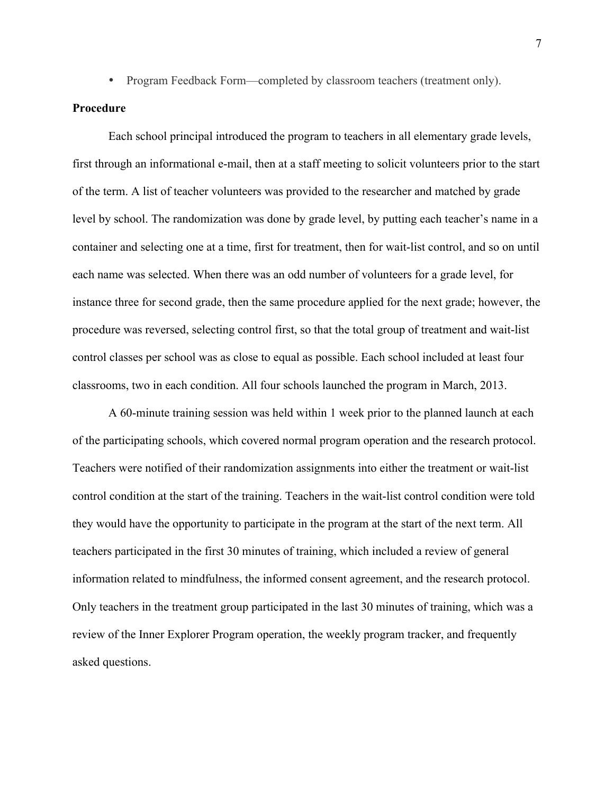• Program Feedback Form—completed by classroom teachers (treatment only).

#### **Procedure**

Each school principal introduced the program to teachers in all elementary grade levels, first through an informational e-mail, then at a staff meeting to solicit volunteers prior to the start of the term. A list of teacher volunteers was provided to the researcher and matched by grade level by school. The randomization was done by grade level, by putting each teacher's name in a container and selecting one at a time, first for treatment, then for wait-list control, and so on until each name was selected. When there was an odd number of volunteers for a grade level, for instance three for second grade, then the same procedure applied for the next grade; however, the procedure was reversed, selecting control first, so that the total group of treatment and wait-list control classes per school was as close to equal as possible. Each school included at least four classrooms, two in each condition. All four schools launched the program in March, 2013.

A 60-minute training session was held within 1 week prior to the planned launch at each of the participating schools, which covered normal program operation and the research protocol. Teachers were notified of their randomization assignments into either the treatment or wait-list control condition at the start of the training. Teachers in the wait-list control condition were told they would have the opportunity to participate in the program at the start of the next term. All teachers participated in the first 30 minutes of training, which included a review of general information related to mindfulness, the informed consent agreement, and the research protocol. Only teachers in the treatment group participated in the last 30 minutes of training, which was a review of the Inner Explorer Program operation, the weekly program tracker, and frequently asked questions.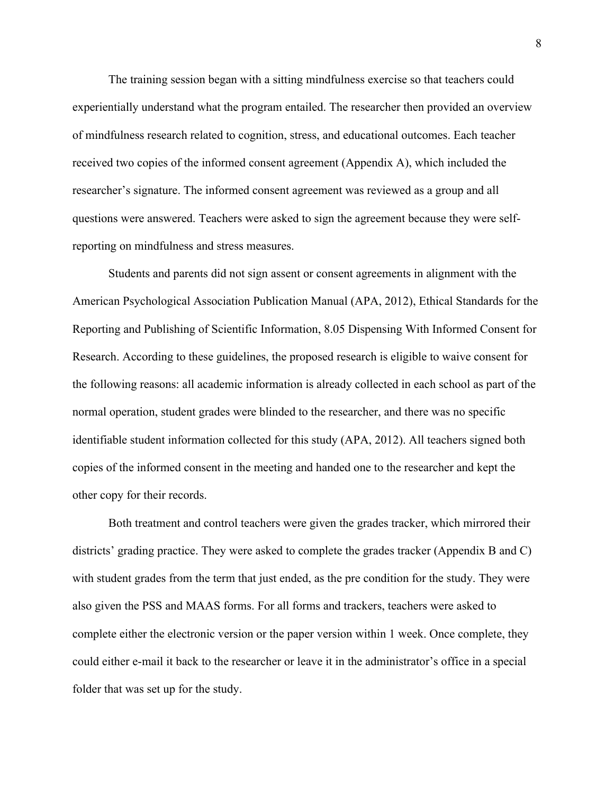The training session began with a sitting mindfulness exercise so that teachers could experientially understand what the program entailed. The researcher then provided an overview of mindfulness research related to cognition, stress, and educational outcomes. Each teacher received two copies of the informed consent agreement (Appendix A), which included the researcher's signature. The informed consent agreement was reviewed as a group and all questions were answered. Teachers were asked to sign the agreement because they were selfreporting on mindfulness and stress measures.

Students and parents did not sign assent or consent agreements in alignment with the American Psychological Association Publication Manual (APA, 2012), Ethical Standards for the Reporting and Publishing of Scientific Information, 8.05 Dispensing With Informed Consent for Research. According to these guidelines, the proposed research is eligible to waive consent for the following reasons: all academic information is already collected in each school as part of the normal operation, student grades were blinded to the researcher, and there was no specific identifiable student information collected for this study (APA, 2012). All teachers signed both copies of the informed consent in the meeting and handed one to the researcher and kept the other copy for their records.

Both treatment and control teachers were given the grades tracker, which mirrored their districts' grading practice. They were asked to complete the grades tracker (Appendix B and C) with student grades from the term that just ended, as the pre condition for the study. They were also given the PSS and MAAS forms. For all forms and trackers, teachers were asked to complete either the electronic version or the paper version within 1 week. Once complete, they could either e-mail it back to the researcher or leave it in the administrator's office in a special folder that was set up for the study.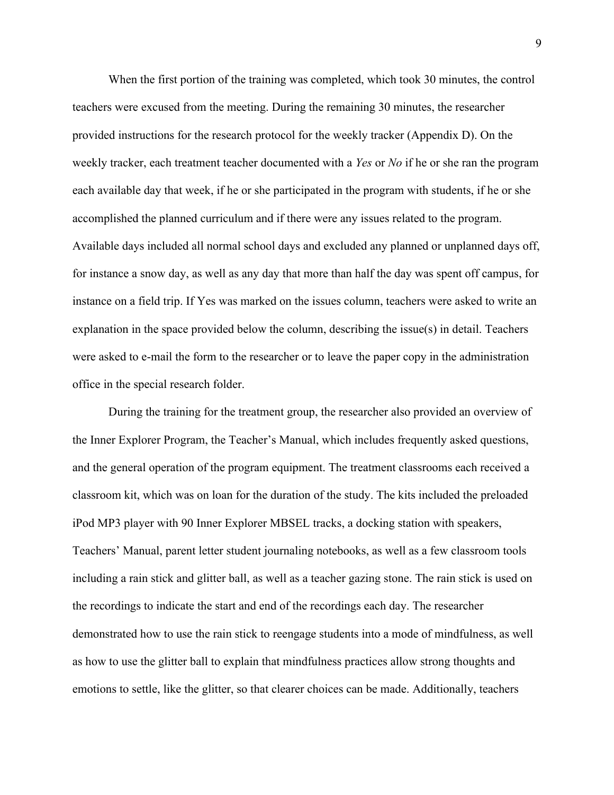When the first portion of the training was completed, which took 30 minutes, the control teachers were excused from the meeting. During the remaining 30 minutes, the researcher provided instructions for the research protocol for the weekly tracker (Appendix D). On the weekly tracker, each treatment teacher documented with a *Yes* or *No* if he or she ran the program each available day that week, if he or she participated in the program with students, if he or she accomplished the planned curriculum and if there were any issues related to the program. Available days included all normal school days and excluded any planned or unplanned days off, for instance a snow day, as well as any day that more than half the day was spent off campus, for instance on a field trip. If Yes was marked on the issues column, teachers were asked to write an explanation in the space provided below the column, describing the issue(s) in detail. Teachers were asked to e-mail the form to the researcher or to leave the paper copy in the administration office in the special research folder.

During the training for the treatment group, the researcher also provided an overview of the Inner Explorer Program, the Teacher's Manual, which includes frequently asked questions, and the general operation of the program equipment. The treatment classrooms each received a classroom kit, which was on loan for the duration of the study. The kits included the preloaded iPod MP3 player with 90 Inner Explorer MBSEL tracks, a docking station with speakers, Teachers' Manual, parent letter student journaling notebooks, as well as a few classroom tools including a rain stick and glitter ball, as well as a teacher gazing stone. The rain stick is used on the recordings to indicate the start and end of the recordings each day. The researcher demonstrated how to use the rain stick to reengage students into a mode of mindfulness, as well as how to use the glitter ball to explain that mindfulness practices allow strong thoughts and emotions to settle, like the glitter, so that clearer choices can be made. Additionally, teachers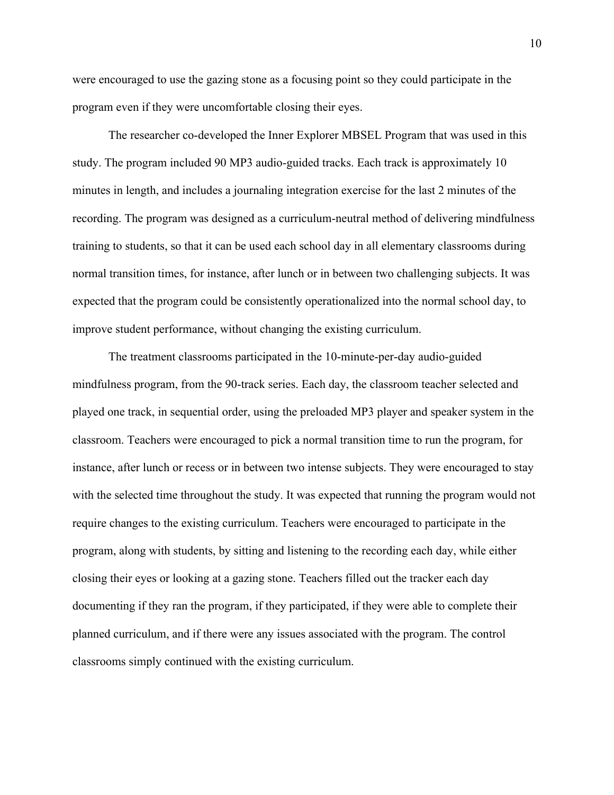were encouraged to use the gazing stone as a focusing point so they could participate in the program even if they were uncomfortable closing their eyes.

The researcher co-developed the Inner Explorer MBSEL Program that was used in this study. The program included 90 MP3 audio-guided tracks. Each track is approximately 10 minutes in length, and includes a journaling integration exercise for the last 2 minutes of the recording. The program was designed as a curriculum-neutral method of delivering mindfulness training to students, so that it can be used each school day in all elementary classrooms during normal transition times, for instance, after lunch or in between two challenging subjects. It was expected that the program could be consistently operationalized into the normal school day, to improve student performance, without changing the existing curriculum.

The treatment classrooms participated in the 10-minute-per-day audio-guided mindfulness program, from the 90-track series. Each day, the classroom teacher selected and played one track, in sequential order, using the preloaded MP3 player and speaker system in the classroom. Teachers were encouraged to pick a normal transition time to run the program, for instance, after lunch or recess or in between two intense subjects. They were encouraged to stay with the selected time throughout the study. It was expected that running the program would not require changes to the existing curriculum. Teachers were encouraged to participate in the program, along with students, by sitting and listening to the recording each day, while either closing their eyes or looking at a gazing stone. Teachers filled out the tracker each day documenting if they ran the program, if they participated, if they were able to complete their planned curriculum, and if there were any issues associated with the program. The control classrooms simply continued with the existing curriculum.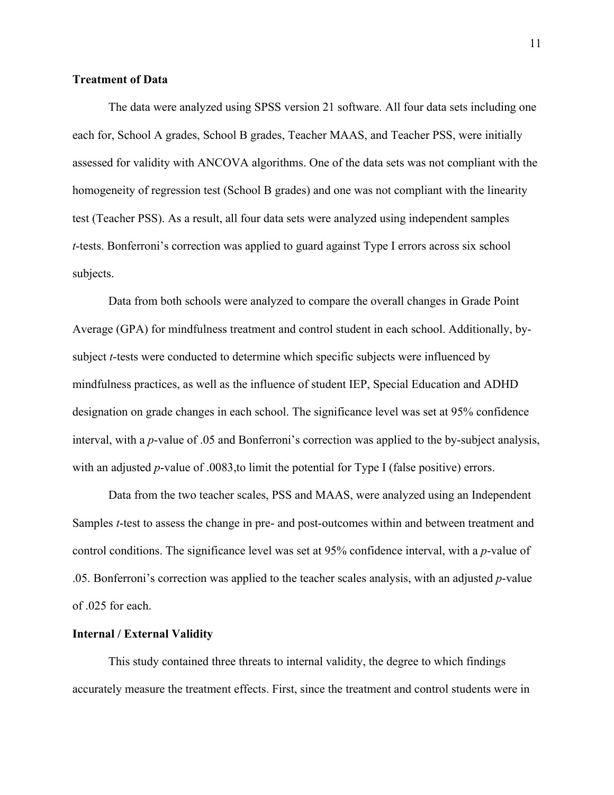#### **Treatment of Data**

The data were analyzed using SPSS version 21 software. All four data sets including one each for, School A grades, School B grades, Teacher MAAS, and Teacher PSS, were initially assessed for validity with ANCOVA algorithms. One of the data sets was not compliant with the homogeneity of regression test (School B grades) and one was not compliant with the linearity test (Teacher PSS). As a result, all four data sets were analyzed using independent samples *t*-tests. Bonferroni's correction was applied to guard against Type I errors across six school subjects.

 Data from both schools were analyzed to compare the overall changes in Grade Point Average (GPA) for mindfulness treatment and control student in each school. Additionally, bysubject *t*-tests were conducted to determine which specific subjects were influenced by mindfulness practices, as well as the influence of student IEP, Special Education and ADHD designation on grade changes in each school. The significance level was set at 95% confidence interval, with a *p*-value of .05 and Bonferroni's correction was applied to the by-subject analysis, with an adjusted *p*-value of .0083, to limit the potential for Type I (false positive) errors.

Data from the two teacher scales, PSS and MAAS, were analyzed using an Independent Samples *t*-test to assess the change in pre- and post-outcomes within and between treatment and control conditions. The significance level was set at 95% confidence interval, with a *p*-value of .05. Bonferroni's correction was applied to the teacher scales analysis, with an adjusted *p*-value of .025 for each.

#### **Internal / External Validity**

This study contained three threats to internal validity, the degree to which findings accurately measure the treatment effects. First, since the treatment and control students were in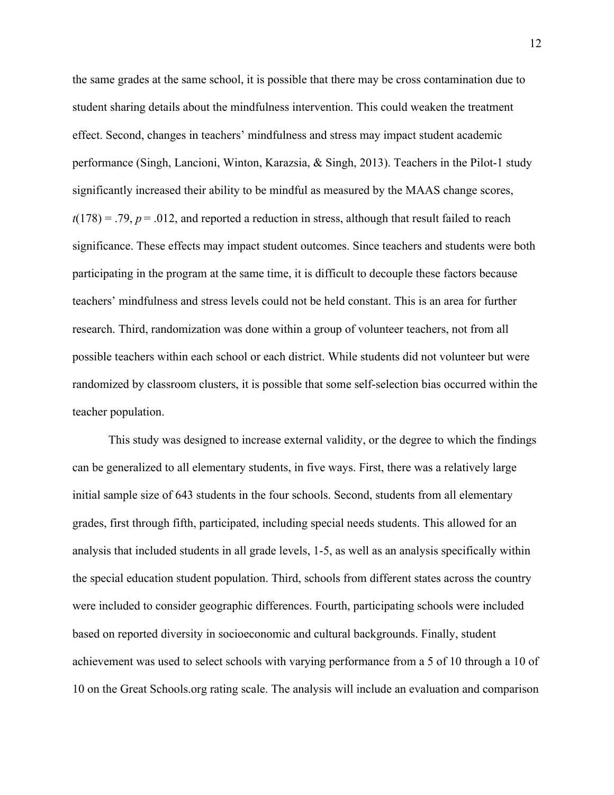the same grades at the same school, it is possible that there may be cross contamination due to student sharing details about the mindfulness intervention. This could weaken the treatment effect. Second, changes in teachers' mindfulness and stress may impact student academic performance (Singh, Lancioni, Winton, Karazsia, & Singh, 2013). Teachers in the Pilot-1 study significantly increased their ability to be mindful as measured by the MAAS change scores,  $t(178) = .79$ ,  $p = .012$ , and reported a reduction in stress, although that result failed to reach significance. These effects may impact student outcomes. Since teachers and students were both participating in the program at the same time, it is difficult to decouple these factors because teachers' mindfulness and stress levels could not be held constant. This is an area for further research. Third, randomization was done within a group of volunteer teachers, not from all possible teachers within each school or each district. While students did not volunteer but were randomized by classroom clusters, it is possible that some self-selection bias occurred within the teacher population.

This study was designed to increase external validity, or the degree to which the findings can be generalized to all elementary students, in five ways. First, there was a relatively large initial sample size of 643 students in the four schools. Second, students from all elementary grades, first through fifth, participated, including special needs students. This allowed for an analysis that included students in all grade levels, 1-5, as well as an analysis specifically within the special education student population. Third, schools from different states across the country were included to consider geographic differences. Fourth, participating schools were included based on reported diversity in socioeconomic and cultural backgrounds. Finally, student achievement was used to select schools with varying performance from a 5 of 10 through a 10 of 10 on the Great Schools.org rating scale. The analysis will include an evaluation and comparison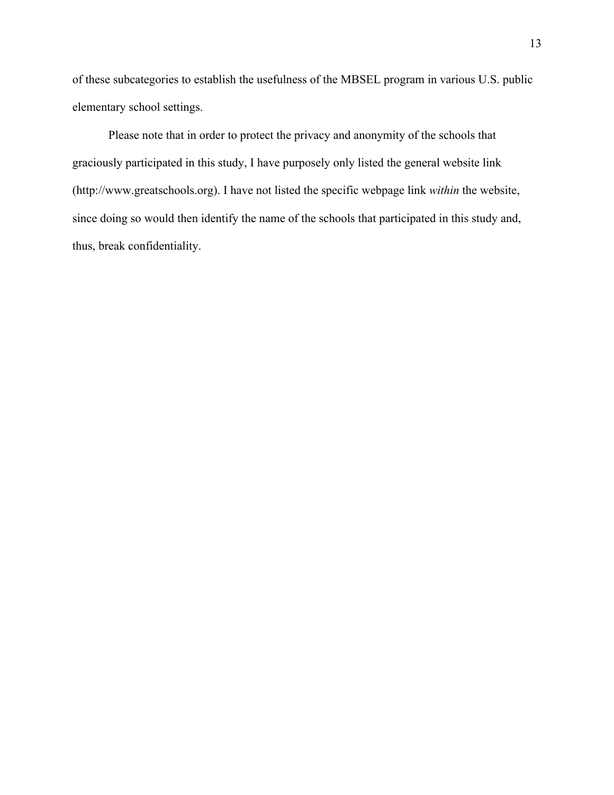of these subcategories to establish the usefulness of the MBSEL program in various U.S. public elementary school settings.

Please note that in order to protect the privacy and anonymity of the schools that graciously participated in this study, I have purposely only listed the general website link (http://www.greatschools.org). I have not listed the specific webpage link *within* the website, since doing so would then identify the name of the schools that participated in this study and, thus, break confidentiality.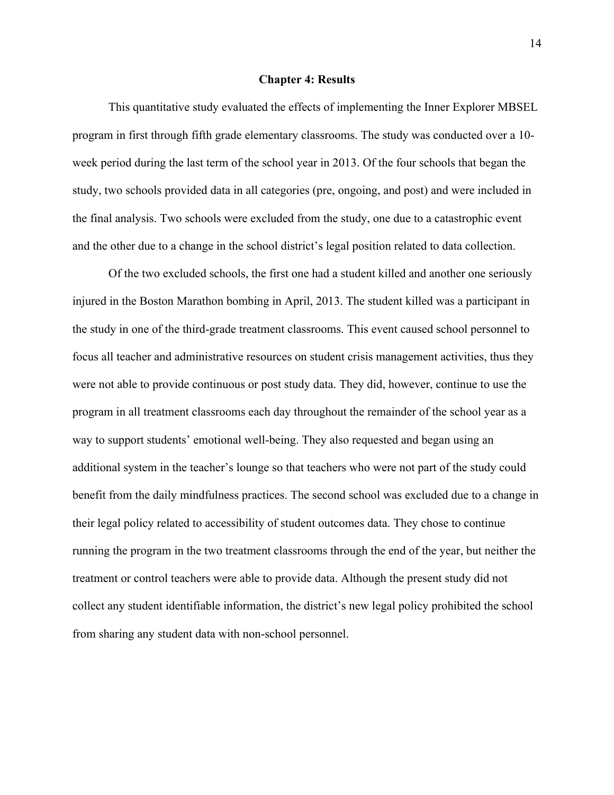#### **Chapter 4: Results**

This quantitative study evaluated the effects of implementing the Inner Explorer MBSEL program in first through fifth grade elementary classrooms. The study was conducted over a 10 week period during the last term of the school year in 2013. Of the four schools that began the study, two schools provided data in all categories (pre, ongoing, and post) and were included in the final analysis. Two schools were excluded from the study, one due to a catastrophic event and the other due to a change in the school district's legal position related to data collection.

Of the two excluded schools, the first one had a student killed and another one seriously injured in the Boston Marathon bombing in April, 2013. The student killed was a participant in the study in one of the third-grade treatment classrooms. This event caused school personnel to focus all teacher and administrative resources on student crisis management activities, thus they were not able to provide continuous or post study data. They did, however, continue to use the program in all treatment classrooms each day throughout the remainder of the school year as a way to support students' emotional well-being. They also requested and began using an additional system in the teacher's lounge so that teachers who were not part of the study could benefit from the daily mindfulness practices. The second school was excluded due to a change in their legal policy related to accessibility of student outcomes data. They chose to continue running the program in the two treatment classrooms through the end of the year, but neither the treatment or control teachers were able to provide data. Although the present study did not collect any student identifiable information, the district's new legal policy prohibited the school from sharing any student data with non-school personnel.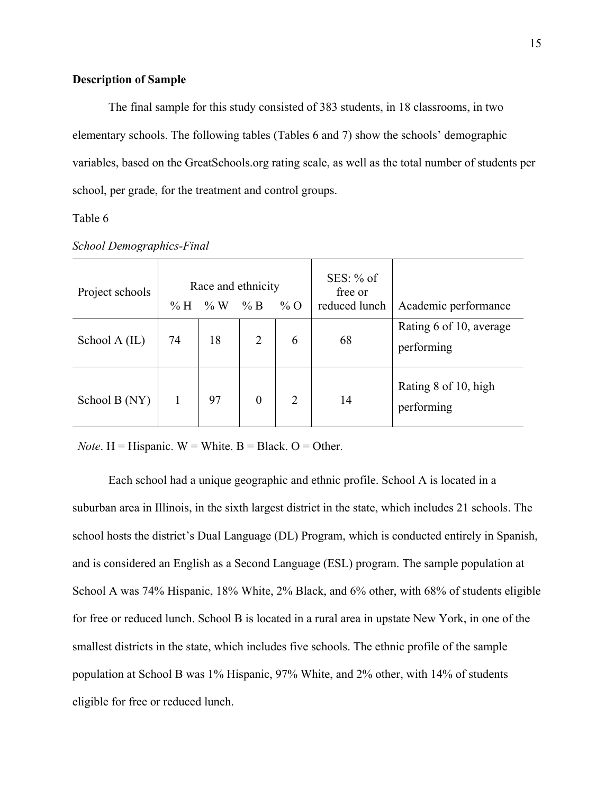#### **Description of Sample**

The final sample for this study consisted of 383 students, in 18 classrooms, in two elementary schools. The following tables (Tables 6 and 7) show the schools' demographic variables, based on the GreatSchools.org rating scale, as well as the total number of students per school, per grade, for the treatment and control groups.

#### Table 6

| Project schools | % H | Race and ethnicity<br>$\% W$ | % B              | $\%$ O | $SES: \%$ of<br>free or<br>reduced lunch | Academic performance                  |
|-----------------|-----|------------------------------|------------------|--------|------------------------------------------|---------------------------------------|
| School A (IL)   | 74  | 18                           | 2                | 6      | 68                                       | Rating 6 of 10, average<br>performing |
| School B (NY)   |     | 97                           | $\boldsymbol{0}$ | 2      | 14                                       | Rating 8 of 10, high<br>performing    |

*School Demographics-Final*

*Note*.  $H = H$ ispanic.  $W = White$ .  $B = Black$ .  $O = Other$ .

Each school had a unique geographic and ethnic profile. School A is located in a suburban area in Illinois, in the sixth largest district in the state, which includes 21 schools. The school hosts the district's Dual Language (DL) Program, which is conducted entirely in Spanish, and is considered an English as a Second Language (ESL) program. The sample population at School A was 74% Hispanic, 18% White, 2% Black, and 6% other, with 68% of students eligible for free or reduced lunch. School B is located in a rural area in upstate New York, in one of the smallest districts in the state, which includes five schools. The ethnic profile of the sample population at School B was 1% Hispanic, 97% White, and 2% other, with 14% of students eligible for free or reduced lunch.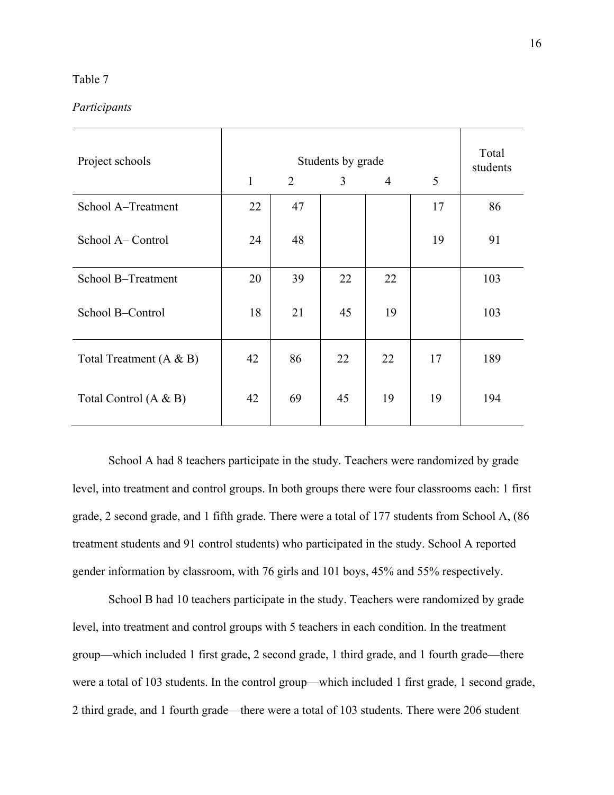#### Table 7

#### *Participants*

| Project schools           |              | Total<br>students |    |                |    |     |
|---------------------------|--------------|-------------------|----|----------------|----|-----|
|                           | $\mathbf{1}$ | 2                 | 3  | $\overline{4}$ | 5  |     |
| School A-Treatment        | 22           | 47                |    |                | 17 | 86  |
| School A– Control         | 24           | 48                |    |                | 19 | 91  |
| School B-Treatment        | 20           | 39                | 22 | 22             |    | 103 |
| School B-Control          | 18           | 21                | 45 | 19             |    | 103 |
| Total Treatment $(A & B)$ | 42           | 86                | 22 | 22             | 17 | 189 |
| Total Control $(A & B)$   | 42           | 69                | 45 | 19             | 19 | 194 |

School A had 8 teachers participate in the study. Teachers were randomized by grade level, into treatment and control groups. In both groups there were four classrooms each: 1 first grade, 2 second grade, and 1 fifth grade. There were a total of 177 students from School A, (86 treatment students and 91 control students) who participated in the study. School A reported gender information by classroom, with 76 girls and 101 boys, 45% and 55% respectively.

School B had 10 teachers participate in the study. Teachers were randomized by grade level, into treatment and control groups with 5 teachers in each condition. In the treatment group—which included 1 first grade, 2 second grade, 1 third grade, and 1 fourth grade—there were a total of 103 students. In the control group—which included 1 first grade, 1 second grade, 2 third grade, and 1 fourth grade—there were a total of 103 students. There were 206 student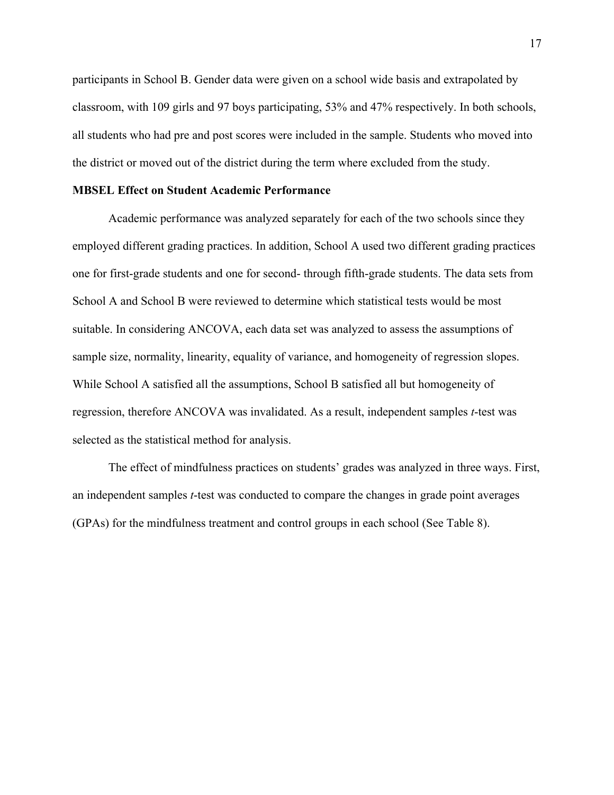participants in School B. Gender data were given on a school wide basis and extrapolated by classroom, with 109 girls and 97 boys participating, 53% and 47% respectively. In both schools, all students who had pre and post scores were included in the sample. Students who moved into the district or moved out of the district during the term where excluded from the study.

#### **MBSEL Effect on Student Academic Performance**

Academic performance was analyzed separately for each of the two schools since they employed different grading practices. In addition, School A used two different grading practices one for first-grade students and one for second- through fifth-grade students. The data sets from School A and School B were reviewed to determine which statistical tests would be most suitable. In considering ANCOVA, each data set was analyzed to assess the assumptions of sample size, normality, linearity, equality of variance, and homogeneity of regression slopes. While School A satisfied all the assumptions, School B satisfied all but homogeneity of regression, therefore ANCOVA was invalidated. As a result, independent samples *t*-test was selected as the statistical method for analysis.

The effect of mindfulness practices on students' grades was analyzed in three ways. First, an independent samples *t*-test was conducted to compare the changes in grade point averages (GPAs) for the mindfulness treatment and control groups in each school (See Table 8).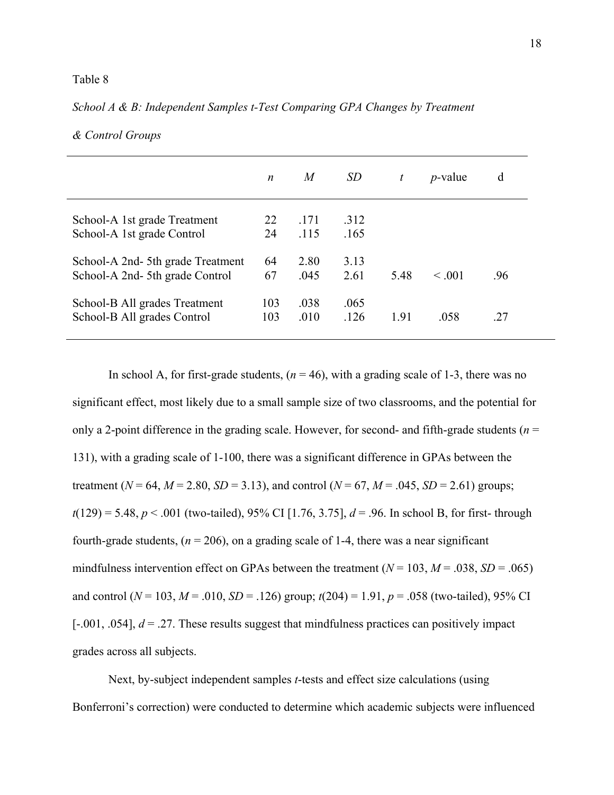#### Table 8

#### *n M SD t p-*value d School-A 1st grade Treatment School-A 1st grade Control School-A 2nd- 5th grade Treatment School-A 2nd- 5th grade Control 22 24 64 67 .171 .115 2.80 .045 .312 .165 3.13 2.61  $5.48 \le 0.001$  .96 School-B All grades Treatment School-B All grades Control 103 103 .038 .010 .065 .126 1.91 .058 .27

#### *School A & B: Independent Samples t-Test Comparing GPA Changes by Treatment*

In school A, for first-grade students,  $(n = 46)$ , with a grading scale of 1-3, there was no significant effect, most likely due to a small sample size of two classrooms, and the potential for only a 2-point difference in the grading scale. However, for second- and fifth-grade students ( $n =$ 131), with a grading scale of 1-100, there was a significant difference in GPAs between the treatment ( $N = 64$ ,  $M = 2.80$ ,  $SD = 3.13$ ), and control ( $N = 67$ ,  $M = .045$ ,  $SD = 2.61$ ) groups; *t*(129) = 5.48, *p* < .001 (two-tailed), 95% CI [1.76, 3.75], *d* = .96. In school B, for first- through fourth-grade students,  $(n = 206)$ , on a grading scale of 1-4, there was a near significant mindfulness intervention effect on GPAs between the treatment  $(N = 103, M = .038, SD = .065)$ and control ( $N = 103$ ,  $M = .010$ ,  $SD = .126$ ) group;  $t(204) = 1.91$ ,  $p = .058$  (two-tailed), 95% CI  $[-.001, .054]$ ,  $d = .27$ . These results suggest that mindfulness practices can positively impact grades across all subjects.

*& Control Groups*

Next, by-subject independent samples *t*-tests and effect size calculations (using Bonferroni's correction) were conducted to determine which academic subjects were influenced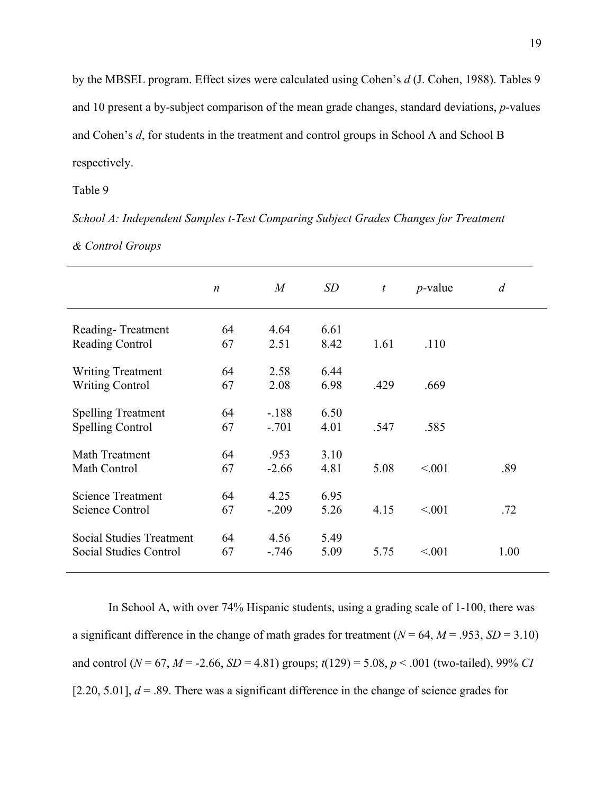by the MBSEL program. Effect sizes were calculated using Cohen's *d* (J. Cohen, 1988). Tables 9 and 10 present a by-subject comparison of the mean grade changes, standard deviations, *p*-values and Cohen's *d*, for students in the treatment and control groups in School A and School B respectively.

Table 9

*School A: Independent Samples t-Test Comparing Subject Grades Changes for Treatment & Control Groups*

|                                 | $\boldsymbol{n}$ | $\boldsymbol{M}$ | SD   | $\boldsymbol{t}$ | $p$ -value | $\overline{d}$ |
|---------------------------------|------------------|------------------|------|------------------|------------|----------------|
|                                 |                  |                  |      |                  |            |                |
| Reading-Treatment               | 64               | 4.64             | 6.61 |                  |            |                |
| <b>Reading Control</b>          | 67               | 2.51             | 8.42 | 1.61             | .110       |                |
| <b>Writing Treatment</b>        | 64               | 2.58             | 6.44 |                  |            |                |
| <b>Writing Control</b>          | 67               | 2.08             | 6.98 | .429             | .669       |                |
| <b>Spelling Treatment</b>       | 64               | $-188$           | 6.50 |                  |            |                |
| <b>Spelling Control</b>         | 67               | $-.701$          | 4.01 | .547             | .585       |                |
| Math Treatment                  | 64               | .953             | 3.10 |                  |            |                |
| Math Control                    | 67               | $-2.66$          | 4.81 | 5.08             | < 0.01     | .89            |
| <b>Science Treatment</b>        | 64               | 4.25             | 6.95 |                  |            |                |
| Science Control                 | 67               | $-.209$          | 5.26 | 4.15             | < 0.01     | .72            |
| <b>Social Studies Treatment</b> | 64               | 4.56             | 5.49 |                  |            |                |
| Social Studies Control          | 67               | $-.746$          | 5.09 | 5.75             | < 0.01     | 1.00           |
|                                 |                  |                  |      |                  |            |                |

In School A, with over 74% Hispanic students, using a grading scale of 1-100, there was a significant difference in the change of math grades for treatment  $(N = 64, M = .953, SD = 3.10)$ and control ( $N = 67$ ,  $M = -2.66$ ,  $SD = 4.81$ ) groups;  $t(129) = 5.08$ ,  $p < .001$  (two-tailed), 99% *CI* [2.20, 5.01],  $d = 0.89$ . There was a significant difference in the change of science grades for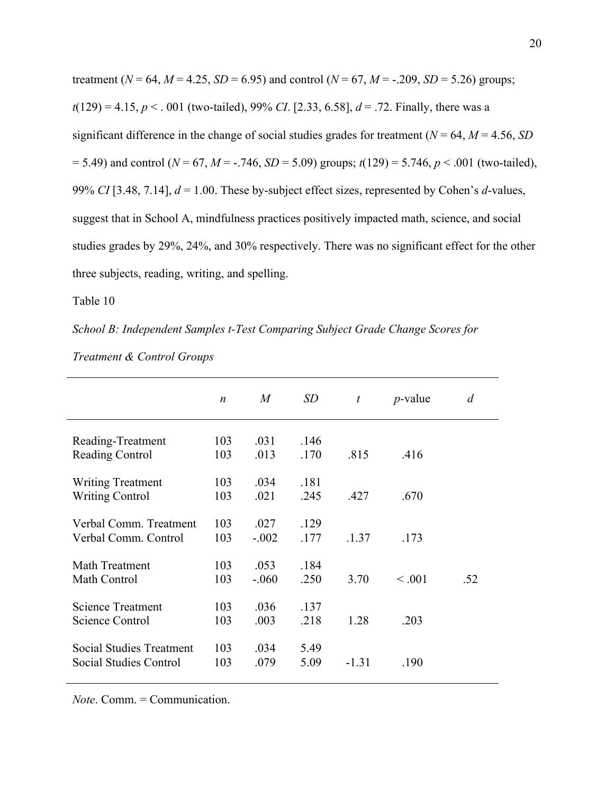treatment ( $N = 64$ ,  $M = 4.25$ ,  $SD = 6.95$ ) and control ( $N = 67$ ,  $M = -0.209$ ,  $SD = 5.26$ ) groups;  $t(129) = 4.15, p < .001$  (two-tailed), 99% *CI*. [2.33, 6.58],  $d = .72$ . Finally, there was a significant difference in the change of social studies grades for treatment ( $N = 64$ ,  $M = 4.56$ , *SD*  $= 5.49$ ) and control ( $N = 67$ ,  $M = -.746$ ,  $SD = 5.09$ ) groups;  $t(129) = 5.746$ ,  $p < .001$  (two-tailed), 99% *CI* [3.48, 7.14], *d* = 1.00. These by-subject effect sizes, represented by Cohen's *d*-values, suggest that in School A, mindfulness practices positively impacted math, science, and social studies grades by 29%, 24%, and 30% respectively. There was no significant effect for the other three subjects, reading, writing, and spelling.

Table 10

*School B: Independent Samples t-Test Comparing Subject Grade Change Scores for* 

|                                 | $\boldsymbol{n}$ | M       | SD   | t       | $p$ -value | d   |
|---------------------------------|------------------|---------|------|---------|------------|-----|
| Reading-Treatment               | 103              | .031    | .146 |         |            |     |
| <b>Reading Control</b>          | 103              | .013    | .170 | .815    | .416       |     |
| <b>Writing Treatment</b>        | 103              | .034    | .181 |         |            |     |
| <b>Writing Control</b>          | 103              | .021    | .245 | .427    | .670       |     |
| Verbal Comm. Treatment          | 103              | .027    | .129 |         |            |     |
| Verbal Comm. Control            | 103              | $-.002$ | .177 | .1.37   | .173       |     |
| Math Treatment                  | 103              | .053    | .184 |         |            |     |
| Math Control                    | 103              | $-.060$ | .250 | 3.70    | < 0.001    | .52 |
| <b>Science Treatment</b>        | 103              | .036    | .137 |         |            |     |
| <b>Science Control</b>          | 103              | .003    | .218 | 1.28    | .203       |     |
| <b>Social Studies Treatment</b> | 103              | .034    | 5.49 |         |            |     |
| Social Studies Control          | 103              | .079    | 5.09 | $-1.31$ | .190       |     |

*Treatment & Control Groups*

*Note*. Comm. = Communication.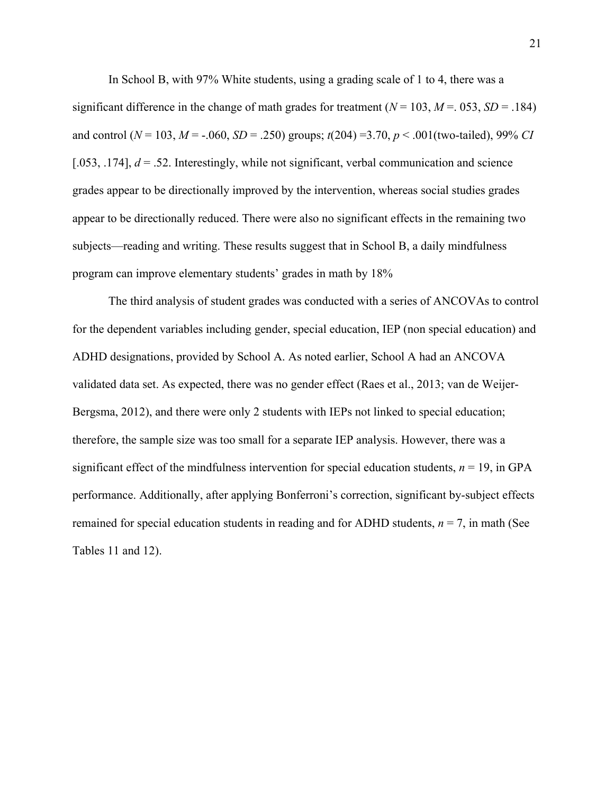In School B, with 97% White students, using a grading scale of 1 to 4, there was a significant difference in the change of math grades for treatment  $(N = 103, M = .053, SD = .184)$ and control ( $N = 103$ ,  $M = -.060$ ,  $SD = .250$ ) groups;  $t(204) = 3.70$ ,  $p < .001$ (two-tailed), 99% *CI* [.053,  $.174$ ],  $d = .52$ . Interestingly, while not significant, verbal communication and science grades appear to be directionally improved by the intervention, whereas social studies grades appear to be directionally reduced. There were also no significant effects in the remaining two subjects—reading and writing. These results suggest that in School B, a daily mindfulness program can improve elementary students' grades in math by 18%

The third analysis of student grades was conducted with a series of ANCOVAs to control for the dependent variables including gender, special education, IEP (non special education) and ADHD designations, provided by School A. As noted earlier, School A had an ANCOVA validated data set. As expected, there was no gender effect (Raes et al., 2013; van de Weijer-Bergsma, 2012), and there were only 2 students with IEPs not linked to special education; therefore, the sample size was too small for a separate IEP analysis. However, there was a significant effect of the mindfulness intervention for special education students,  $n = 19$ , in GPA performance. Additionally, after applying Bonferroni's correction, significant by-subject effects remained for special education students in reading and for ADHD students,  $n = 7$ , in math (See Tables 11 and 12).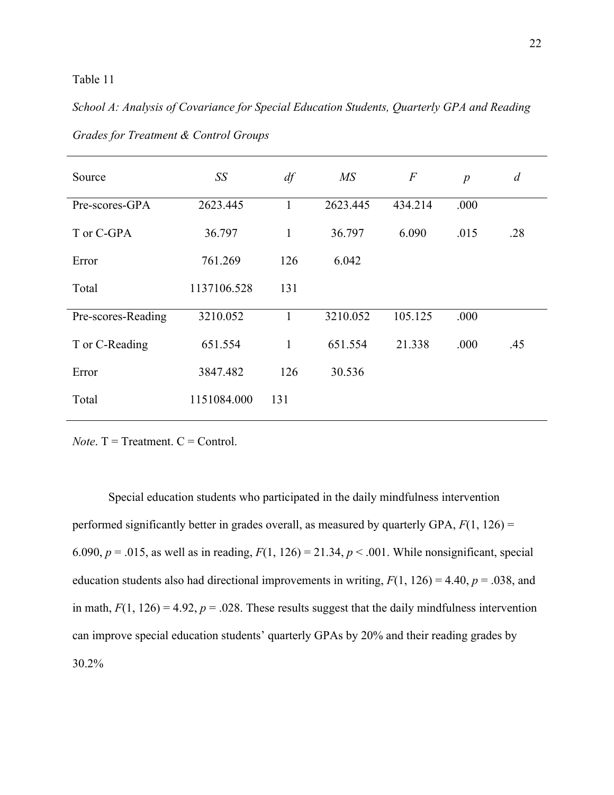#### Table 11

### *School A: Analysis of Covariance for Special Education Students, Quarterly GPA and Reading*

| Source             | SS          | df           | $\overline{MS}$ | $\,F$   | $\boldsymbol{p}$ | $\overline{d}$ |
|--------------------|-------------|--------------|-----------------|---------|------------------|----------------|
| Pre-scores-GPA     | 2623.445    | $\mathbf{1}$ | 2623.445        | 434.214 | .000             |                |
| T or C-GPA         | 36.797      | $\mathbf{1}$ | 36.797          | 6.090   | .015             | .28            |
| Error              | 761.269     | 126          | 6.042           |         |                  |                |
| Total              | 1137106.528 | 131          |                 |         |                  |                |
| Pre-scores-Reading | 3210.052    | 1            | 3210.052        | 105.125 | .000             |                |
| T or C-Reading     | 651.554     | $\mathbf{1}$ | 651.554         | 21.338  | .000             | .45            |
| Error              | 3847.482    | 126          | 30.536          |         |                  |                |
| Total              | 1151084.000 | 131          |                 |         |                  |                |

*Grades for Treatment & Control Groups*

*Note*.  $T = T$ reatment.  $C =$  Control.

 Special education students who participated in the daily mindfulness intervention performed significantly better in grades overall, as measured by quarterly GPA, *F*(1, 126) = 6.090,  $p = .015$ , as well as in reading,  $F(1, 126) = 21.34$ ,  $p < .001$ . While nonsignificant, special education students also had directional improvements in writing,  $F(1, 126) = 4.40$ ,  $p = .038$ , and in math,  $F(1, 126) = 4.92$ ,  $p = .028$ . These results suggest that the daily mindfulness intervention can improve special education students' quarterly GPAs by 20% and their reading grades by 30.2%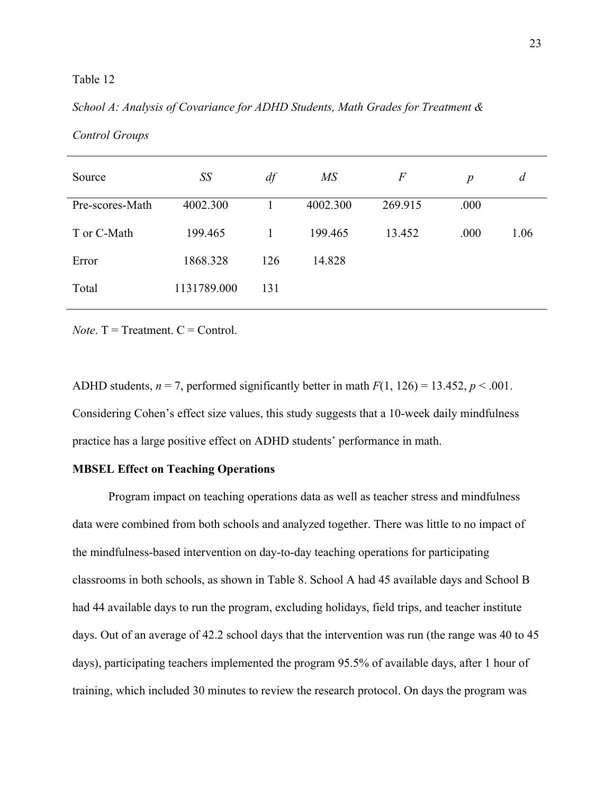#### Table 12

#### *School A: Analysis of Covariance for ADHD Students, Math Grades for Treatment &*

| Source          | SS          | df  | $\overline{MS}$ | $\,F$   | $\boldsymbol{p}$ | d    |
|-----------------|-------------|-----|-----------------|---------|------------------|------|
| Pre-scores-Math | 4002.300    |     | 4002.300        | 269.915 | .000             |      |
| T or C-Math     | 199.465     |     | 199.465         | 13.452  | .000             | 1.06 |
| Error           | 1868.328    | 126 | 14.828          |         |                  |      |
| Total           | 1131789.000 | 131 |                 |         |                  |      |

*Control Groups*

*Note*.  $T = T$ reatment.  $C =$  Control.

ADHD students,  $n = 7$ , performed significantly better in math  $F(1, 126) = 13.452$ ,  $p < .001$ . Considering Cohen's effect size values, this study suggests that a 10-week daily mindfulness practice has a large positive effect on ADHD students' performance in math.

#### **MBSEL Effect on Teaching Operations**

Program impact on teaching operations data as well as teacher stress and mindfulness data were combined from both schools and analyzed together. There was little to no impact of the mindfulness-based intervention on day-to-day teaching operations for participating classrooms in both schools, as shown in Table 8. School A had 45 available days and School B had 44 available days to run the program, excluding holidays, field trips, and teacher institute days. Out of an average of 42.2 school days that the intervention was run (the range was 40 to 45 days), participating teachers implemented the program 95.5% of available days, after 1 hour of training, which included 30 minutes to review the research protocol. On days the program was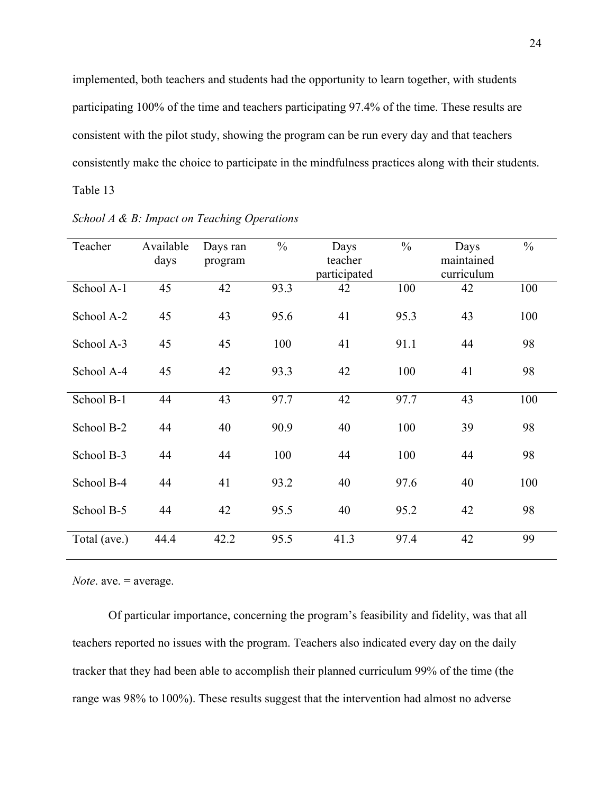implemented, both teachers and students had the opportunity to learn together, with students participating 100% of the time and teachers participating 97.4% of the time. These results are consistent with the pilot study, showing the program can be run every day and that teachers consistently make the choice to participate in the mindfulness practices along with their students. Table 13

| Teacher      | Available | Days ran | $\frac{0}{0}$ | Days         | $\frac{0}{0}$ | Days       | $\frac{0}{0}$ |
|--------------|-----------|----------|---------------|--------------|---------------|------------|---------------|
|              | days      | program  |               | teacher      |               | maintained |               |
|              |           |          |               | participated |               | curriculum |               |
| School A-1   | 45        | 42       | 93.3          | 42           | 100           | 42         | 100           |
| School A-2   | 45        | 43       | 95.6          | 41           | 95.3          | 43         | 100           |
| School A-3   | 45        | 45       | 100           | 41           | 91.1          | 44         | 98            |
| School A-4   | 45        | 42       | 93.3          | 42           | 100           | 41         | 98            |
| School B-1   | 44        | 43       | 97.7          | 42           | 97.7          | 43         | 100           |
| School B-2   | 44        | 40       | 90.9          | 40           | 100           | 39         | 98            |
| School B-3   | 44        | 44       | 100           | 44           | 100           | 44         | 98            |
| School B-4   | 44        | 41       | 93.2          | 40           | 97.6          | 40         | 100           |
| School B-5   | 44        | 42       | 95.5          | 40           | 95.2          | 42         | 98            |
| Total (ave.) | 44.4      | 42.2     | 95.5          | 41.3         | 97.4          | 42         | 99            |

*School A & B: Impact on Teaching Operations*

*Note*. ave. = average.

 Of particular importance, concerning the program's feasibility and fidelity, was that all teachers reported no issues with the program. Teachers also indicated every day on the daily tracker that they had been able to accomplish their planned curriculum 99% of the time (the range was 98% to 100%). These results suggest that the intervention had almost no adverse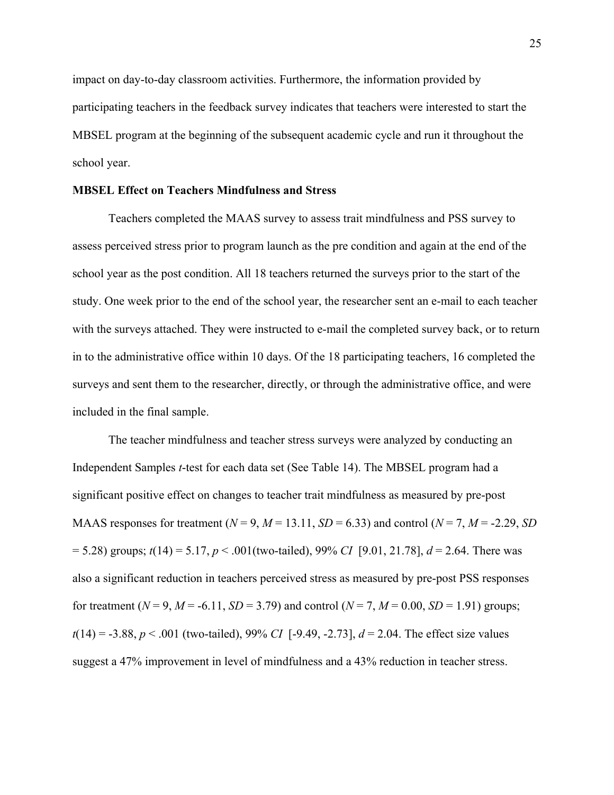impact on day-to-day classroom activities. Furthermore, the information provided by participating teachers in the feedback survey indicates that teachers were interested to start the MBSEL program at the beginning of the subsequent academic cycle and run it throughout the school year.

#### **MBSEL Effect on Teachers Mindfulness and Stress**

Teachers completed the MAAS survey to assess trait mindfulness and PSS survey to assess perceived stress prior to program launch as the pre condition and again at the end of the school year as the post condition. All 18 teachers returned the surveys prior to the start of the study. One week prior to the end of the school year, the researcher sent an e-mail to each teacher with the surveys attached. They were instructed to e-mail the completed survey back, or to return in to the administrative office within 10 days. Of the 18 participating teachers, 16 completed the surveys and sent them to the researcher, directly, or through the administrative office, and were included in the final sample.

The teacher mindfulness and teacher stress surveys were analyzed by conducting an Independent Samples *t*-test for each data set (See Table 14). The MBSEL program had a significant positive effect on changes to teacher trait mindfulness as measured by pre-post MAAS responses for treatment ( $N = 9$ ,  $M = 13.11$ ,  $SD = 6.33$ ) and control ( $N = 7$ ,  $M = -2.29$ ,  $SD$ = 5.28) groups; *t*(14) = 5.17, *p* < .001(two-tailed), 99% *CI* [9.01, 21.78], *d* = 2.64. There was also a significant reduction in teachers perceived stress as measured by pre-post PSS responses for treatment ( $N = 9$ ,  $M = -6.11$ ,  $SD = 3.79$ ) and control ( $N = 7$ ,  $M = 0.00$ ,  $SD = 1.91$ ) groups; *t*(14) = -3.88, *p* < .001 (two-tailed), 99% *CI* [-9.49, -2.73], *d* = 2.04. The effect size values suggest a 47% improvement in level of mindfulness and a 43% reduction in teacher stress.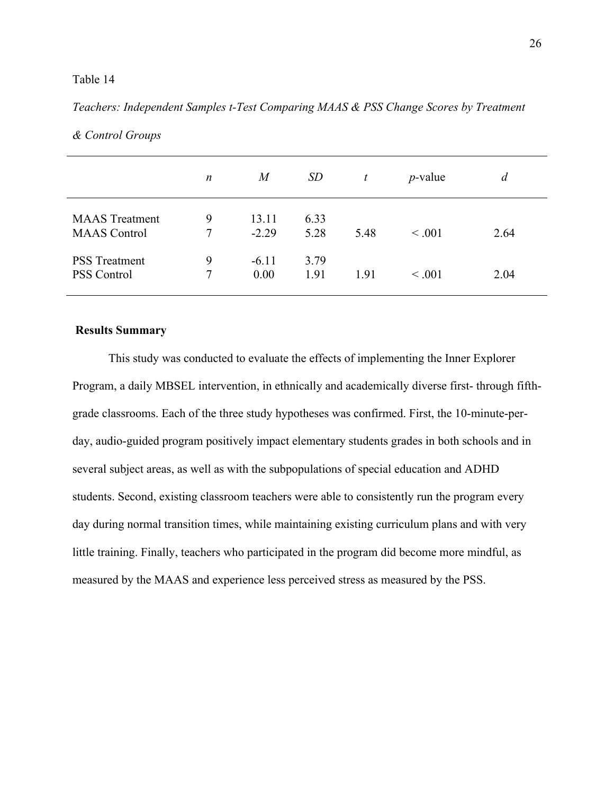#### Table 14

#### *Teachers: Independent Samples t-Test Comparing MAAS & PSS Change Scores by Treatment*

|                                              | n      | $\overline{M}$   | <i>SD</i>    | t    | $p$ -value  | d    |
|----------------------------------------------|--------|------------------|--------------|------|-------------|------|
| <b>MAAS</b> Treatment<br><b>MAAS</b> Control | 9<br>7 | 13.11<br>$-2.29$ | 6.33<br>5.28 | 5.48 | < 0.001     | 2.64 |
| <b>PSS</b> Treatment<br><b>PSS Control</b>   | 9      | $-6.11$<br>0.00  | 3.79<br>1.91 | 1.91 | $\leq .001$ | 2.04 |

#### *& Control Groups*

#### **Results Summary**

This study was conducted to evaluate the effects of implementing the Inner Explorer Program, a daily MBSEL intervention, in ethnically and academically diverse first- through fifthgrade classrooms. Each of the three study hypotheses was confirmed. First, the 10-minute-perday, audio-guided program positively impact elementary students grades in both schools and in several subject areas, as well as with the subpopulations of special education and ADHD students. Second, existing classroom teachers were able to consistently run the program every day during normal transition times, while maintaining existing curriculum plans and with very little training. Finally, teachers who participated in the program did become more mindful, as measured by the MAAS and experience less perceived stress as measured by the PSS.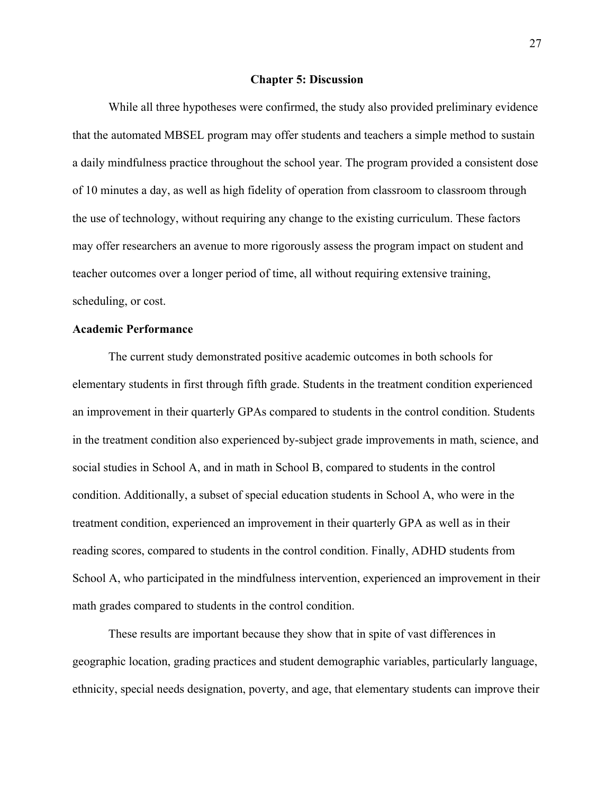#### **Chapter 5: Discussion**

While all three hypotheses were confirmed, the study also provided preliminary evidence that the automated MBSEL program may offer students and teachers a simple method to sustain a daily mindfulness practice throughout the school year. The program provided a consistent dose of 10 minutes a day, as well as high fidelity of operation from classroom to classroom through the use of technology, without requiring any change to the existing curriculum. These factors may offer researchers an avenue to more rigorously assess the program impact on student and teacher outcomes over a longer period of time, all without requiring extensive training, scheduling, or cost.

#### **Academic Performance**

The current study demonstrated positive academic outcomes in both schools for elementary students in first through fifth grade. Students in the treatment condition experienced an improvement in their quarterly GPAs compared to students in the control condition. Students in the treatment condition also experienced by-subject grade improvements in math, science, and social studies in School A, and in math in School B, compared to students in the control condition. Additionally, a subset of special education students in School A, who were in the treatment condition, experienced an improvement in their quarterly GPA as well as in their reading scores, compared to students in the control condition. Finally, ADHD students from School A, who participated in the mindfulness intervention, experienced an improvement in their math grades compared to students in the control condition.

 These results are important because they show that in spite of vast differences in geographic location, grading practices and student demographic variables, particularly language, ethnicity, special needs designation, poverty, and age, that elementary students can improve their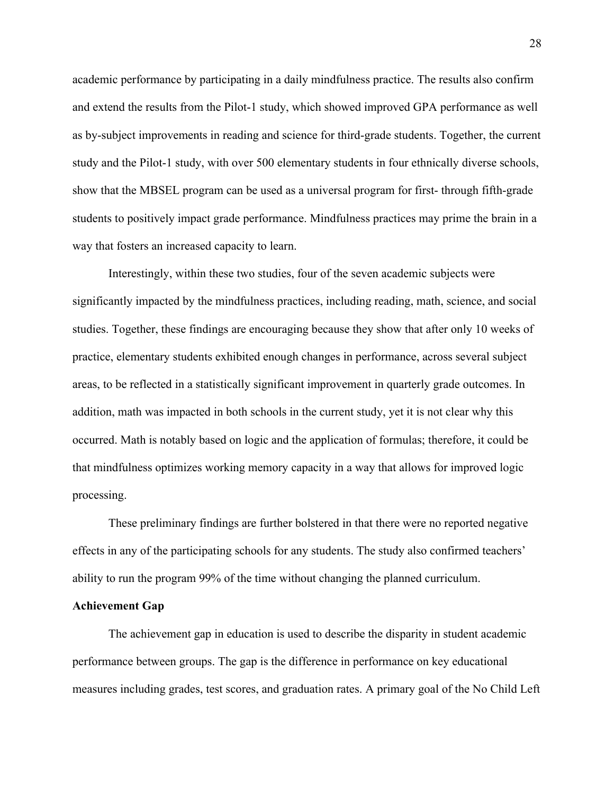academic performance by participating in a daily mindfulness practice. The results also confirm and extend the results from the Pilot-1 study, which showed improved GPA performance as well as by-subject improvements in reading and science for third-grade students. Together, the current study and the Pilot-1 study, with over 500 elementary students in four ethnically diverse schools, show that the MBSEL program can be used as a universal program for first- through fifth-grade students to positively impact grade performance. Mindfulness practices may prime the brain in a way that fosters an increased capacity to learn.

Interestingly, within these two studies, four of the seven academic subjects were significantly impacted by the mindfulness practices, including reading, math, science, and social studies. Together, these findings are encouraging because they show that after only 10 weeks of practice, elementary students exhibited enough changes in performance, across several subject areas, to be reflected in a statistically significant improvement in quarterly grade outcomes. In addition, math was impacted in both schools in the current study, yet it is not clear why this occurred. Math is notably based on logic and the application of formulas; therefore, it could be that mindfulness optimizes working memory capacity in a way that allows for improved logic processing.

These preliminary findings are further bolstered in that there were no reported negative effects in any of the participating schools for any students. The study also confirmed teachers' ability to run the program 99% of the time without changing the planned curriculum.

#### **Achievement Gap**

The achievement gap in education is used to describe the disparity in student academic performance between groups. The gap is the difference in performance on key educational measures including grades, test scores, and graduation rates. A primary goal of the No Child Left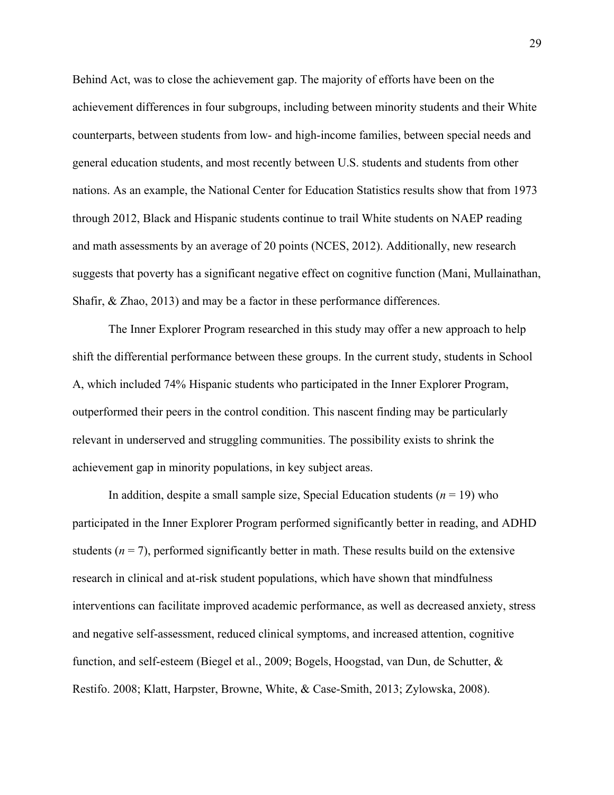Behind Act, was to close the achievement gap. The majority of efforts have been on the achievement differences in four subgroups, including between minority students and their White counterparts, between students from low- and high-income families, between special needs and general education students, and most recently between U.S. students and students from other nations. As an example, the National Center for Education Statistics results show that from 1973 through 2012, Black and Hispanic students continue to trail White students on NAEP reading and math assessments by an average of 20 points (NCES, 2012). Additionally, new research suggests that poverty has a significant negative effect on cognitive function (Mani, Mullainathan, Shafir, & Zhao, 2013) and may be a factor in these performance differences.

The Inner Explorer Program researched in this study may offer a new approach to help shift the differential performance between these groups. In the current study, students in School A, which included 74% Hispanic students who participated in the Inner Explorer Program, outperformed their peers in the control condition. This nascent finding may be particularly relevant in underserved and struggling communities. The possibility exists to shrink the achievement gap in minority populations, in key subject areas.

In addition, despite a small sample size, Special Education students  $(n = 19)$  who participated in the Inner Explorer Program performed significantly better in reading, and ADHD students  $(n = 7)$ , performed significantly better in math. These results build on the extensive research in clinical and at-risk student populations, which have shown that mindfulness interventions can facilitate improved academic performance, as well as decreased anxiety, stress and negative self-assessment, reduced clinical symptoms, and increased attention, cognitive function, and self-esteem (Biegel et al., 2009; Bogels, Hoogstad, van Dun, de Schutter, & Restifo. 2008; Klatt, Harpster, Browne, White, & Case-Smith, 2013; Zylowska, 2008).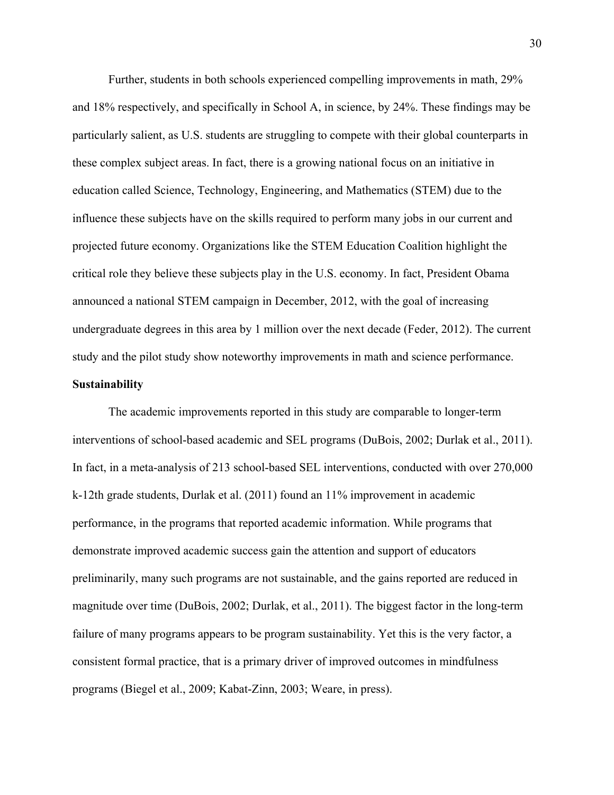Further, students in both schools experienced compelling improvements in math, 29% and 18% respectively, and specifically in School A, in science, by 24%. These findings may be particularly salient, as U.S. students are struggling to compete with their global counterparts in these complex subject areas. In fact, there is a growing national focus on an initiative in education called Science, Technology, Engineering, and Mathematics (STEM) due to the influence these subjects have on the skills required to perform many jobs in our current and projected future economy. Organizations like the STEM Education Coalition highlight the critical role they believe these subjects play in the U.S. economy. In fact, President Obama announced a national STEM campaign in December, 2012, with the goal of increasing undergraduate degrees in this area by 1 million over the next decade (Feder, 2012). The current study and the pilot study show noteworthy improvements in math and science performance. **Sustainability**

# The academic improvements reported in this study are comparable to longer-term interventions of school-based academic and SEL programs (DuBois, 2002; Durlak et al., 2011). In fact, in a meta-analysis of 213 school-based SEL interventions, conducted with over 270,000 k-12th grade students, Durlak et al. (2011) found an 11% improvement in academic performance, in the programs that reported academic information. While programs that demonstrate improved academic success gain the attention and support of educators preliminarily, many such programs are not sustainable, and the gains reported are reduced in magnitude over time (DuBois, 2002; Durlak, et al., 2011). The biggest factor in the long-term failure of many programs appears to be program sustainability. Yet this is the very factor, a consistent formal practice, that is a primary driver of improved outcomes in mindfulness programs (Biegel et al., 2009; Kabat-Zinn, 2003; Weare, in press).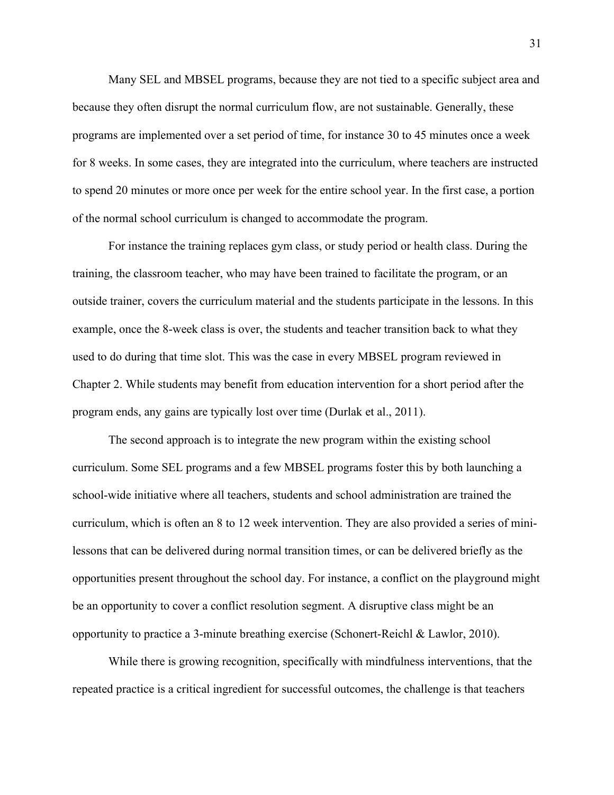Many SEL and MBSEL programs, because they are not tied to a specific subject area and because they often disrupt the normal curriculum flow, are not sustainable. Generally, these programs are implemented over a set period of time, for instance 30 to 45 minutes once a week for 8 weeks. In some cases, they are integrated into the curriculum, where teachers are instructed to spend 20 minutes or more once per week for the entire school year. In the first case, a portion of the normal school curriculum is changed to accommodate the program.

 For instance the training replaces gym class, or study period or health class. During the training, the classroom teacher, who may have been trained to facilitate the program, or an outside trainer, covers the curriculum material and the students participate in the lessons. In this example, once the 8-week class is over, the students and teacher transition back to what they used to do during that time slot. This was the case in every MBSEL program reviewed in Chapter 2. While students may benefit from education intervention for a short period after the program ends, any gains are typically lost over time (Durlak et al., 2011).

The second approach is to integrate the new program within the existing school curriculum. Some SEL programs and a few MBSEL programs foster this by both launching a school-wide initiative where all teachers, students and school administration are trained the curriculum, which is often an 8 to 12 week intervention. They are also provided a series of minilessons that can be delivered during normal transition times, or can be delivered briefly as the opportunities present throughout the school day. For instance, a conflict on the playground might be an opportunity to cover a conflict resolution segment. A disruptive class might be an opportunity to practice a 3-minute breathing exercise (Schonert-Reichl & Lawlor, 2010).

While there is growing recognition, specifically with mindfulness interventions, that the repeated practice is a critical ingredient for successful outcomes, the challenge is that teachers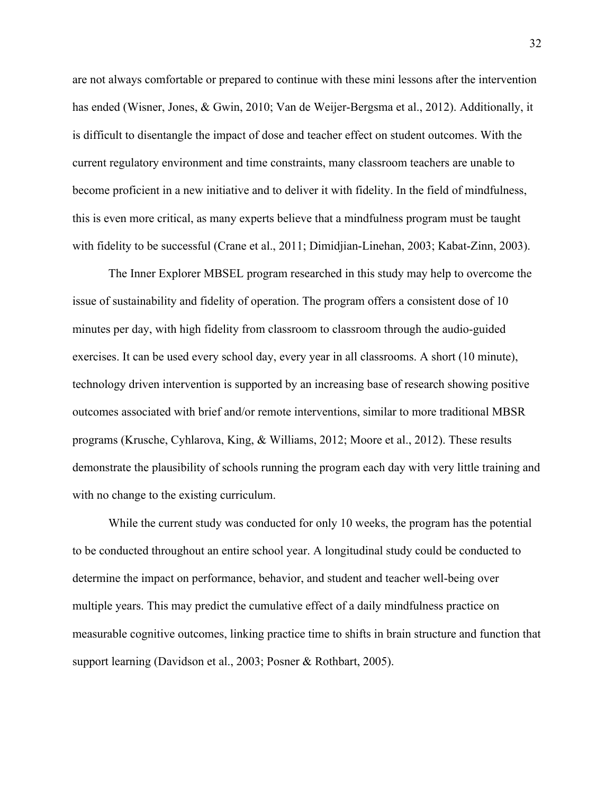are not always comfortable or prepared to continue with these mini lessons after the intervention has ended (Wisner, Jones, & Gwin, 2010; Van de Weijer-Bergsma et al., 2012). Additionally, it is difficult to disentangle the impact of dose and teacher effect on student outcomes. With the current regulatory environment and time constraints, many classroom teachers are unable to become proficient in a new initiative and to deliver it with fidelity. In the field of mindfulness, this is even more critical, as many experts believe that a mindfulness program must be taught with fidelity to be successful (Crane et al., 2011; Dimidjian-Linehan, 2003; Kabat-Zinn, 2003).

The Inner Explorer MBSEL program researched in this study may help to overcome the issue of sustainability and fidelity of operation. The program offers a consistent dose of 10 minutes per day, with high fidelity from classroom to classroom through the audio-guided exercises. It can be used every school day, every year in all classrooms. A short (10 minute), technology driven intervention is supported by an increasing base of research showing positive outcomes associated with brief and/or remote interventions, similar to more traditional MBSR programs (Krusche, Cyhlarova, King, & Williams, 2012; Moore et al., 2012). These results demonstrate the plausibility of schools running the program each day with very little training and with no change to the existing curriculum.

While the current study was conducted for only 10 weeks, the program has the potential to be conducted throughout an entire school year. A longitudinal study could be conducted to determine the impact on performance, behavior, and student and teacher well-being over multiple years. This may predict the cumulative effect of a daily mindfulness practice on measurable cognitive outcomes, linking practice time to shifts in brain structure and function that support learning (Davidson et al., 2003; Posner & Rothbart, 2005).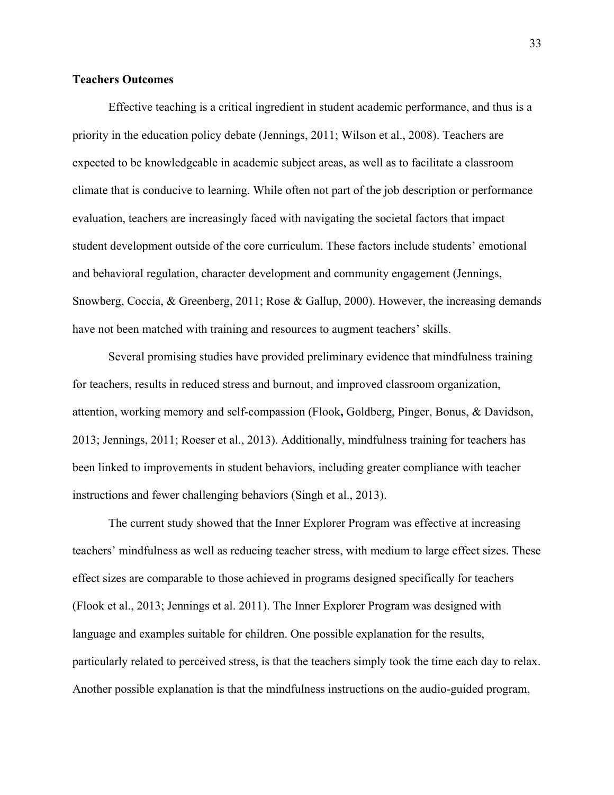#### **Teachers Outcomes**

Effective teaching is a critical ingredient in student academic performance, and thus is a priority in the education policy debate (Jennings, 2011; Wilson et al., 2008). Teachers are expected to be knowledgeable in academic subject areas, as well as to facilitate a classroom climate that is conducive to learning. While often not part of the job description or performance evaluation, teachers are increasingly faced with navigating the societal factors that impact student development outside of the core curriculum. These factors include students' emotional and behavioral regulation, character development and community engagement (Jennings, Snowberg, Coccia, & Greenberg, 2011; Rose & Gallup, 2000). However, the increasing demands have not been matched with training and resources to augment teachers' skills.

Several promising studies have provided preliminary evidence that mindfulness training for teachers, results in reduced stress and burnout, and improved classroom organization, attention, working memory and self-compassion (Flook**,** Goldberg, Pinger, Bonus, & Davidson, 2013; Jennings, 2011; Roeser et al., 2013). Additionally, mindfulness training for teachers has been linked to improvements in student behaviors, including greater compliance with teacher instructions and fewer challenging behaviors (Singh et al., 2013).

The current study showed that the Inner Explorer Program was effective at increasing teachers' mindfulness as well as reducing teacher stress, with medium to large effect sizes. These effect sizes are comparable to those achieved in programs designed specifically for teachers (Flook et al., 2013; Jennings et al. 2011). The Inner Explorer Program was designed with language and examples suitable for children. One possible explanation for the results, particularly related to perceived stress, is that the teachers simply took the time each day to relax. Another possible explanation is that the mindfulness instructions on the audio-guided program,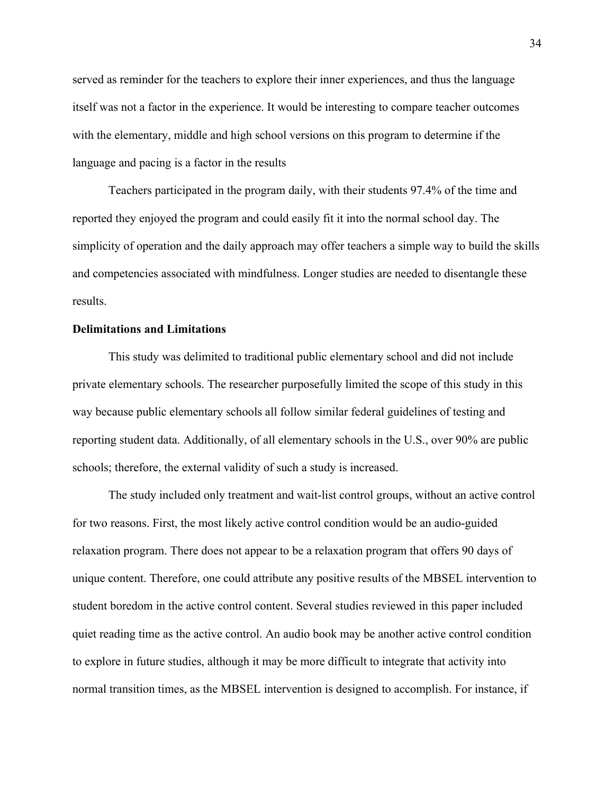served as reminder for the teachers to explore their inner experiences, and thus the language itself was not a factor in the experience. It would be interesting to compare teacher outcomes with the elementary, middle and high school versions on this program to determine if the language and pacing is a factor in the results

Teachers participated in the program daily, with their students 97.4% of the time and reported they enjoyed the program and could easily fit it into the normal school day. The simplicity of operation and the daily approach may offer teachers a simple way to build the skills and competencies associated with mindfulness. Longer studies are needed to disentangle these results.

#### **Delimitations and Limitations**

This study was delimited to traditional public elementary school and did not include private elementary schools. The researcher purposefully limited the scope of this study in this way because public elementary schools all follow similar federal guidelines of testing and reporting student data. Additionally, of all elementary schools in the U.S., over 90% are public schools; therefore, the external validity of such a study is increased.

The study included only treatment and wait-list control groups, without an active control for two reasons. First, the most likely active control condition would be an audio-guided relaxation program. There does not appear to be a relaxation program that offers 90 days of unique content. Therefore, one could attribute any positive results of the MBSEL intervention to student boredom in the active control content. Several studies reviewed in this paper included quiet reading time as the active control. An audio book may be another active control condition to explore in future studies, although it may be more difficult to integrate that activity into normal transition times, as the MBSEL intervention is designed to accomplish. For instance, if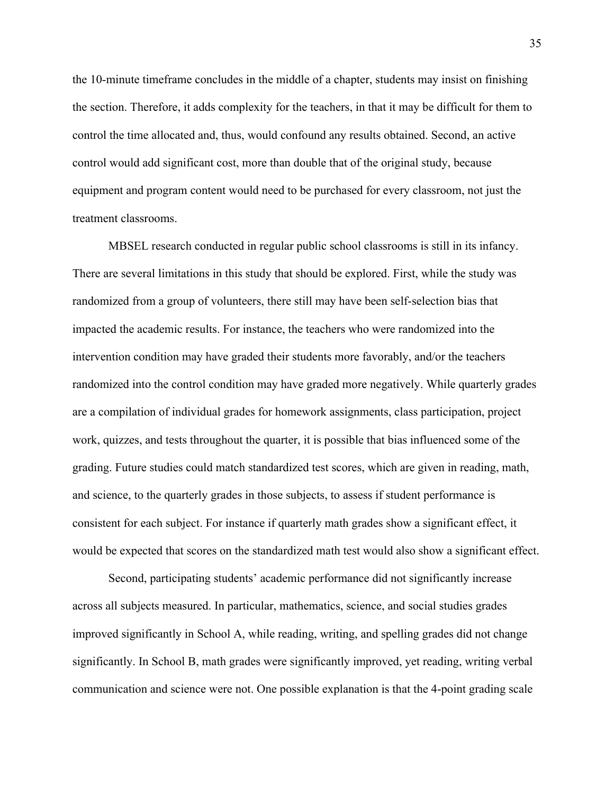the 10-minute timeframe concludes in the middle of a chapter, students may insist on finishing the section. Therefore, it adds complexity for the teachers, in that it may be difficult for them to control the time allocated and, thus, would confound any results obtained. Second, an active control would add significant cost, more than double that of the original study, because equipment and program content would need to be purchased for every classroom, not just the treatment classrooms.

MBSEL research conducted in regular public school classrooms is still in its infancy. There are several limitations in this study that should be explored. First, while the study was randomized from a group of volunteers, there still may have been self-selection bias that impacted the academic results. For instance, the teachers who were randomized into the intervention condition may have graded their students more favorably, and/or the teachers randomized into the control condition may have graded more negatively. While quarterly grades are a compilation of individual grades for homework assignments, class participation, project work, quizzes, and tests throughout the quarter, it is possible that bias influenced some of the grading. Future studies could match standardized test scores, which are given in reading, math, and science, to the quarterly grades in those subjects, to assess if student performance is consistent for each subject. For instance if quarterly math grades show a significant effect, it would be expected that scores on the standardized math test would also show a significant effect.

Second, participating students' academic performance did not significantly increase across all subjects measured. In particular, mathematics, science, and social studies grades improved significantly in School A, while reading, writing, and spelling grades did not change significantly. In School B, math grades were significantly improved, yet reading, writing verbal communication and science were not. One possible explanation is that the 4-point grading scale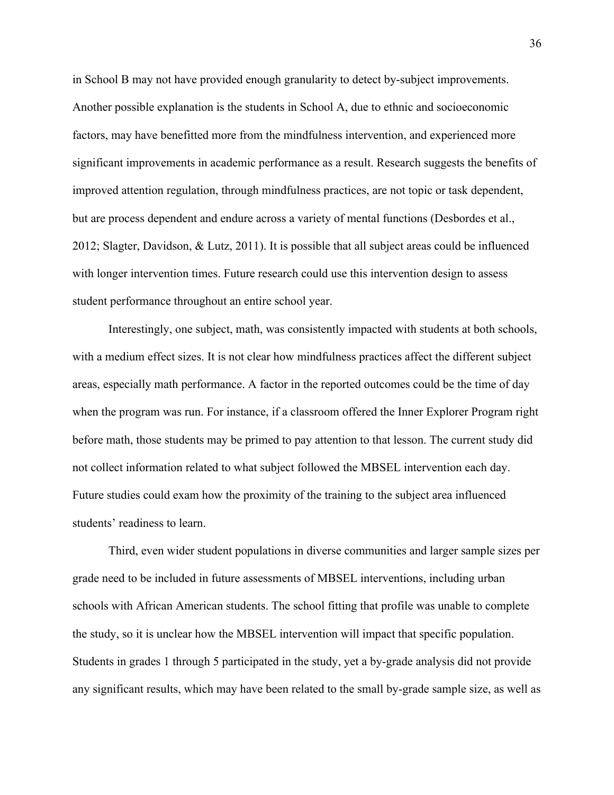in School B may not have provided enough granularity to detect by-subject improvements. Another possible explanation is the students in School A, due to ethnic and socioeconomic factors, may have benefitted more from the mindfulness intervention, and experienced more significant improvements in academic performance as a result. Research suggests the benefits of improved attention regulation, through mindfulness practices, are not topic or task dependent, but are process dependent and endure across a variety of mental functions (Desbordes et al., 2012; Slagter, Davidson, & Lutz, 2011). It is possible that all subject areas could be influenced with longer intervention times. Future research could use this intervention design to assess student performance throughout an entire school year.

Interestingly, one subject, math, was consistently impacted with students at both schools, with a medium effect sizes. It is not clear how mindfulness practices affect the different subject areas, especially math performance. A factor in the reported outcomes could be the time of day when the program was run. For instance, if a classroom offered the Inner Explorer Program right before math, those students may be primed to pay attention to that lesson. The current study did not collect information related to what subject followed the MBSEL intervention each day. Future studies could exam how the proximity of the training to the subject area influenced students' readiness to learn.

Third, even wider student populations in diverse communities and larger sample sizes per grade need to be included in future assessments of MBSEL interventions, including urban schools with African American students. The school fitting that profile was unable to complete the study, so it is unclear how the MBSEL intervention will impact that specific population. Students in grades 1 through 5 participated in the study, yet a by-grade analysis did not provide any significant results, which may have been related to the small by-grade sample size, as well as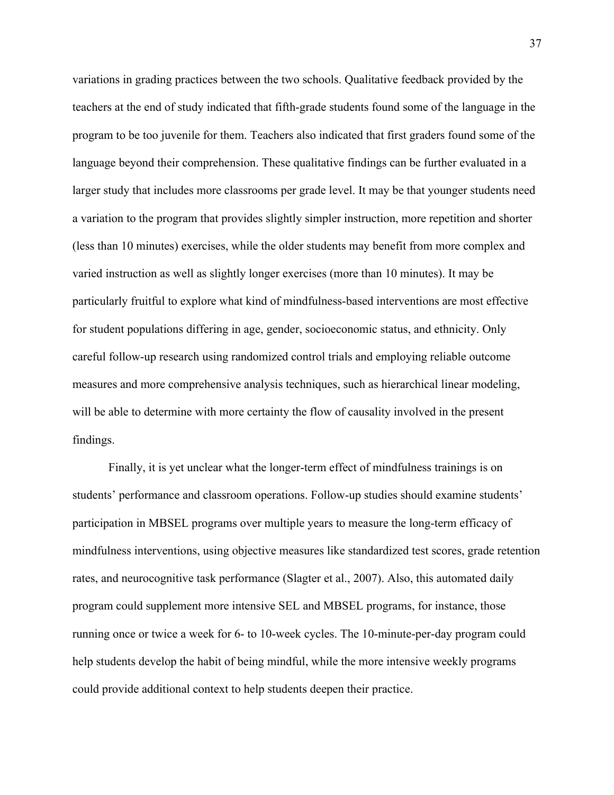variations in grading practices between the two schools. Qualitative feedback provided by the teachers at the end of study indicated that fifth-grade students found some of the language in the program to be too juvenile for them. Teachers also indicated that first graders found some of the language beyond their comprehension. These qualitative findings can be further evaluated in a larger study that includes more classrooms per grade level. It may be that younger students need a variation to the program that provides slightly simpler instruction, more repetition and shorter (less than 10 minutes) exercises, while the older students may benefit from more complex and varied instruction as well as slightly longer exercises (more than 10 minutes). It may be particularly fruitful to explore what kind of mindfulness-based interventions are most effective for student populations differing in age, gender, socioeconomic status, and ethnicity. Only careful follow-up research using randomized control trials and employing reliable outcome measures and more comprehensive analysis techniques, such as hierarchical linear modeling, will be able to determine with more certainty the flow of causality involved in the present findings.

Finally, it is yet unclear what the longer-term effect of mindfulness trainings is on students' performance and classroom operations. Follow-up studies should examine students' participation in MBSEL programs over multiple years to measure the long-term efficacy of mindfulness interventions, using objective measures like standardized test scores, grade retention rates, and neurocognitive task performance (Slagter et al., 2007). Also, this automated daily program could supplement more intensive SEL and MBSEL programs, for instance, those running once or twice a week for 6- to 10-week cycles. The 10-minute-per-day program could help students develop the habit of being mindful, while the more intensive weekly programs could provide additional context to help students deepen their practice.